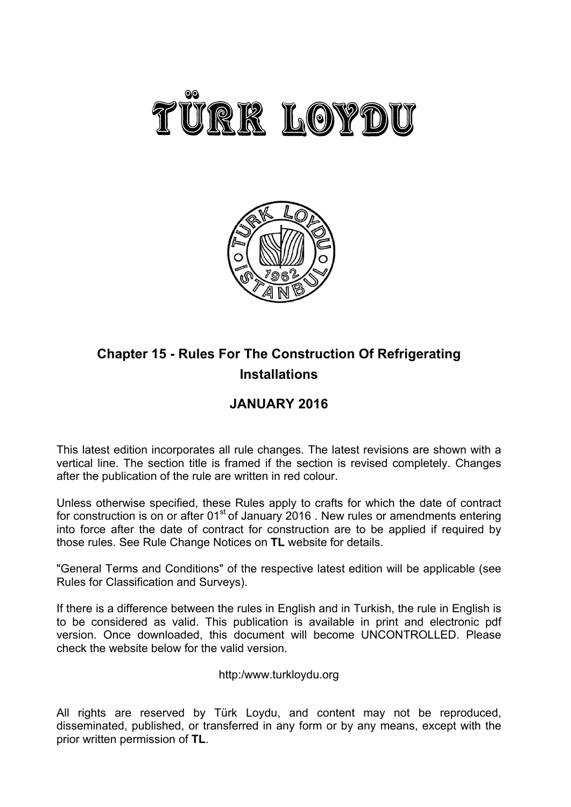



# **Chapter 15 - Rules For The Construction Of Refrigerating Installations**

# **JANUARY 2016**

This latest edition incorporates all rule changes. The latest revisions are shown with a vertical line. The section title is framed if the section is revised completely. Changes after the publication of the rule are written in red colour.

Unless otherwise specified, these Rules apply to crafts for which the date of contract for construction is on or after  $01<sup>st</sup>$  of January 2016 . New rules or amendments entering into force after the date of contract for construction are to be applied if required by those rules. See Rule Change Notices on **TL** website for details.

"General Terms and Conditions" of the respective latest edition will be applicable (see Rules for Classification and Surveys).

If there is a difference between the rules in English and in Turkish, the rule in English is to be considered as valid. This publication is available in print and electronic pdf version. Once downloaded, this document will become UNCONTROLLED. Please check the website below for the valid version.

# http:/www.turkloydu.org

All rights are reserved by Türk Loydu, and content may not be reproduced, disseminated, published, or transferred in any form or by any means, except with the prior written permission of **TL**.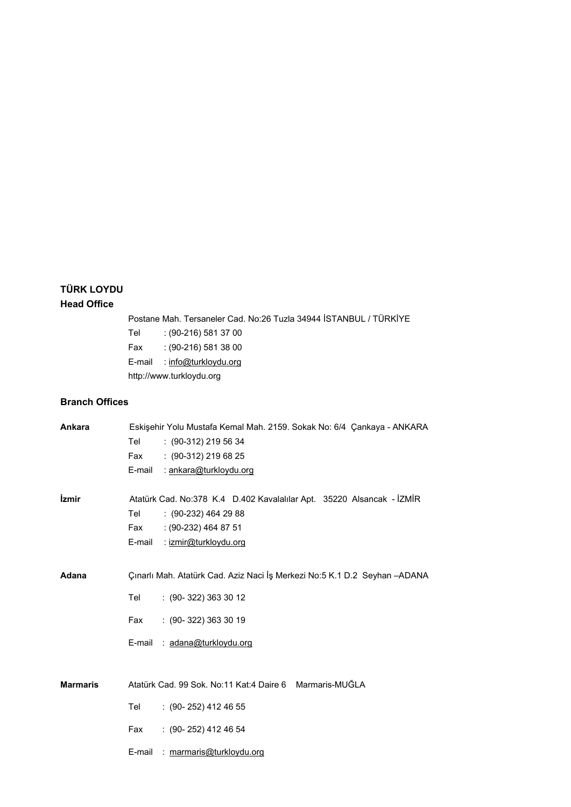# **TÜRK LOYDU Head Office**

Postane Mah. Tersaneler Cad. No:26 Tuzla 34944 İSTANBUL / TÜRKİYE

Tel : (90-216) 581 37 00 Fax : (90-216) 581 38 00 E-mail : info@turkloydu.org http://www.turkloydu.org

# **Branch Offices**

| Ankara          |        | Eskişehir Yolu Mustafa Kemal Mah. 2159. Sokak No: 6/4 Çankaya - ANKARA     |
|-----------------|--------|----------------------------------------------------------------------------|
|                 | Tel    | $: (90-312)$ 219 56 34                                                     |
|                 | Fax    | $: (90-312)$ 219 68 25                                                     |
|                 | E-mail | : <u>ankara@turkloydu.org</u>                                              |
| <i>izmir</i>    |        | Atatürk Cad. No:378 K.4 D.402 Kavalalılar Apt. 35220 Alsancak - İZMİR      |
|                 | Tel    | $(90-232)$ 464 29 88                                                       |
|                 | Fax    | $: (90-232)$ 464 87 51                                                     |
|                 | E-mail | : izmir@turkloydu.org                                                      |
|                 |        |                                                                            |
| Adana           |        | Çınarlı Mah. Atatürk Cad. Aziz Naci İş Merkezi No:5 K.1 D.2 Seyhan - ADANA |
|                 | Tel    | $: (90-322) 363 30 12$                                                     |
|                 | Fax    | $: (90 - 322) 363 30 19$                                                   |
|                 | E-mail | : adana@turkloydu.org                                                      |
|                 |        |                                                                            |
| <b>Marmaris</b> |        | Atatürk Cad. 99 Sok. No:11 Kat:4 Daire 6 Marmaris-MUĞLA                    |
|                 | Tel    | $(90 - 252)$ 412 46 55                                                     |
|                 | Fax    | $(90-252)$ 412 46 54                                                       |
|                 | E-mail | : marmaris@turkloydu.org                                                   |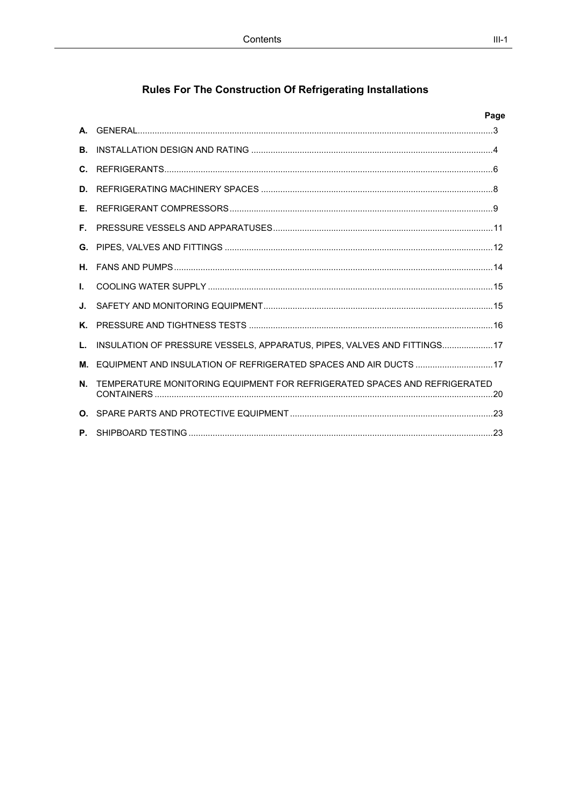# Rules For The Construction Of Refrigerating Installations

|    |                                                                              | Page |
|----|------------------------------------------------------------------------------|------|
|    |                                                                              |      |
|    |                                                                              |      |
|    |                                                                              |      |
|    |                                                                              |      |
|    |                                                                              |      |
|    |                                                                              |      |
|    |                                                                              |      |
|    |                                                                              |      |
| L. |                                                                              |      |
|    |                                                                              |      |
|    |                                                                              |      |
|    | L. INSULATION OF PRESSURE VESSELS, APPARATUS, PIPES, VALVES AND FITTINGS 17  |      |
|    | M. EQUIPMENT AND INSULATION OF REFRIGERATED SPACES AND AIR DUCTS  17         |      |
|    | N. TEMPERATURE MONITORING EQUIPMENT FOR REFRIGERATED SPACES AND REFRIGERATED |      |
|    |                                                                              |      |
|    |                                                                              |      |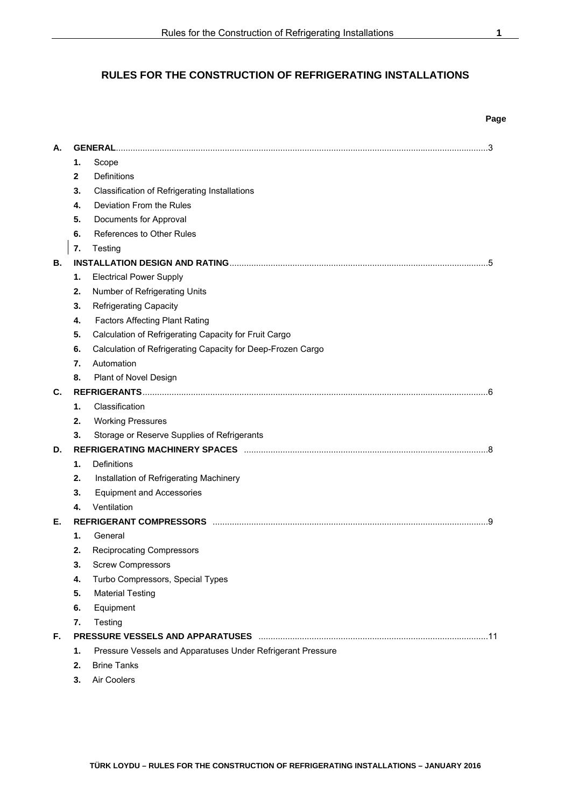# **RULES FOR THE CONSTRUCTION OF REFRIGERATING INSTALLATIONS**

|    |    |                                                             | Page |
|----|----|-------------------------------------------------------------|------|
| А. |    | <b>GENERAL</b>                                              | .3   |
|    | 1. | Scope                                                       |      |
|    | 2  | Definitions                                                 |      |
|    | 3. | <b>Classification of Refrigerating Installations</b>        |      |
|    | 4. | Deviation From the Rules                                    |      |
|    | 5. | Documents for Approval                                      |      |
|    | 6. | References to Other Rules                                   |      |
|    | 7. | Testing                                                     |      |
| В. |    |                                                             | .5   |
|    | 1. | <b>Electrical Power Supply</b>                              |      |
|    | 2. | Number of Refrigerating Units                               |      |
|    | 3. | <b>Refrigerating Capacity</b>                               |      |
|    | 4. | <b>Factors Affecting Plant Rating</b>                       |      |
|    | 5. | Calculation of Refrigerating Capacity for Fruit Cargo       |      |
|    | 6. | Calculation of Refrigerating Capacity for Deep-Frozen Cargo |      |
|    | 7. | Automation                                                  |      |
|    | 8. | Plant of Novel Design                                       |      |
| С. |    | <b>REFRIGERANTS</b>                                         |      |
|    | 1. | Classification                                              |      |
|    | 2. | <b>Working Pressures</b>                                    |      |
|    | 3. | Storage or Reserve Supplies of Refrigerants                 |      |
| D. |    | <b>REFRIGERATING MACHINERY SPACES</b>                       |      |
|    | 1. | Definitions                                                 |      |
|    | 2. | Installation of Refrigerating Machinery                     |      |
|    | 3. | <b>Equipment and Accessories</b>                            |      |
|    | 4. | Ventilation                                                 |      |
| Е. |    | <b>REFRIGERANT COMPRESSORS</b>                              | 9    |
|    | 1. | General                                                     |      |
|    | 2. | <b>Reciprocating Compressors</b>                            |      |
|    | 3. | <b>Screw Compressors</b>                                    |      |
|    | 4. | Turbo Compressors, Special Types                            |      |
|    | 5. | <b>Material Testing</b>                                     |      |
|    | 6. | Equipment                                                   |      |
|    | 7. | Testing                                                     |      |
| F. |    |                                                             |      |
|    | 1. | Pressure Vessels and Apparatuses Under Refrigerant Pressure |      |
|    | 2. | <b>Brine Tanks</b>                                          |      |
|    | 3. | Air Coolers                                                 |      |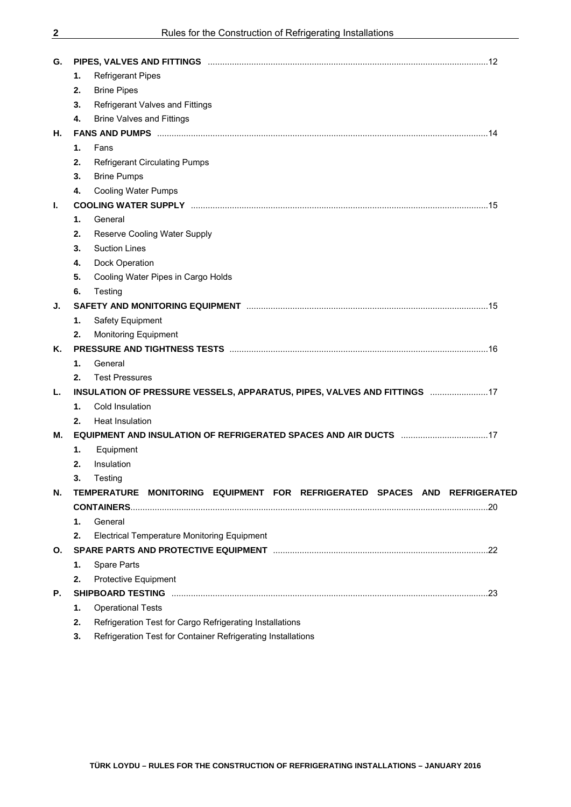| G. | PIPES, VALVES AND FITTINGS Medican contract and the contract of the contract of the contract of the contract o |  |
|----|----------------------------------------------------------------------------------------------------------------|--|
|    | <b>Refrigerant Pipes</b><br>1.                                                                                 |  |
|    | <b>Brine Pipes</b><br>2.                                                                                       |  |
|    | <b>Refrigerant Valves and Fittings</b><br>3.                                                                   |  |
|    | <b>Brine Valves and Fittings</b><br>4.                                                                         |  |
| Н. |                                                                                                                |  |
|    | 1.<br>Fans                                                                                                     |  |
|    | 2.<br><b>Refrigerant Circulating Pumps</b>                                                                     |  |
|    | 3.<br><b>Brine Pumps</b>                                                                                       |  |
|    | <b>Cooling Water Pumps</b><br>4.                                                                               |  |
| L. |                                                                                                                |  |
|    | 1.<br>General                                                                                                  |  |
|    | 2.<br>Reserve Cooling Water Supply                                                                             |  |
|    | <b>Suction Lines</b><br>3.                                                                                     |  |
|    | Dock Operation<br>4.                                                                                           |  |
|    | 5.<br>Cooling Water Pipes in Cargo Holds                                                                       |  |
|    | 6.<br>Testing                                                                                                  |  |
| J. | SAFETY AND MONITORING EQUIPMENT MALLON MARKET MANUSCRIPTION AND MONITORING EQUIPMENT MANUSCRIPTION             |  |
|    | 1.<br>Safety Equipment                                                                                         |  |
|    | <b>Monitoring Equipment</b><br>2.                                                                              |  |
| Κ. |                                                                                                                |  |
|    | General<br>1.                                                                                                  |  |
|    | <b>Test Pressures</b><br>2.                                                                                    |  |
| L. | INSULATION OF PRESSURE VESSELS, APPARATUS, PIPES, VALVES AND FITTINGS  17                                      |  |
|    | Cold Insulation<br>1.                                                                                          |  |
|    | <b>Heat Insulation</b><br>2.                                                                                   |  |
| м. | EQUIPMENT AND INSULATION OF REFRIGERATED SPACES AND AIR DUCTS 17                                               |  |
|    | Equipment<br>1.                                                                                                |  |
|    | Insulation<br>2.                                                                                               |  |
|    | 3.<br>Testing                                                                                                  |  |
| N. | TEMPERATURE MONITORING EQUIPMENT FOR REFRIGERATED SPACES AND REFRIGERATED                                      |  |
|    |                                                                                                                |  |
|    | 1.<br>General                                                                                                  |  |
|    | <b>Electrical Temperature Monitoring Equipment</b><br>2.                                                       |  |
| O. |                                                                                                                |  |
|    | Spare Parts<br>1.                                                                                              |  |
|    | 2.<br><b>Protective Equipment</b>                                                                              |  |
| Р. |                                                                                                                |  |
|    | <b>Operational Tests</b><br>1.                                                                                 |  |
|    | Refrigeration Test for Cargo Refrigerating Installations<br>2.                                                 |  |
|    |                                                                                                                |  |

**3.** Refrigeration Test for Container Refrigerating Installations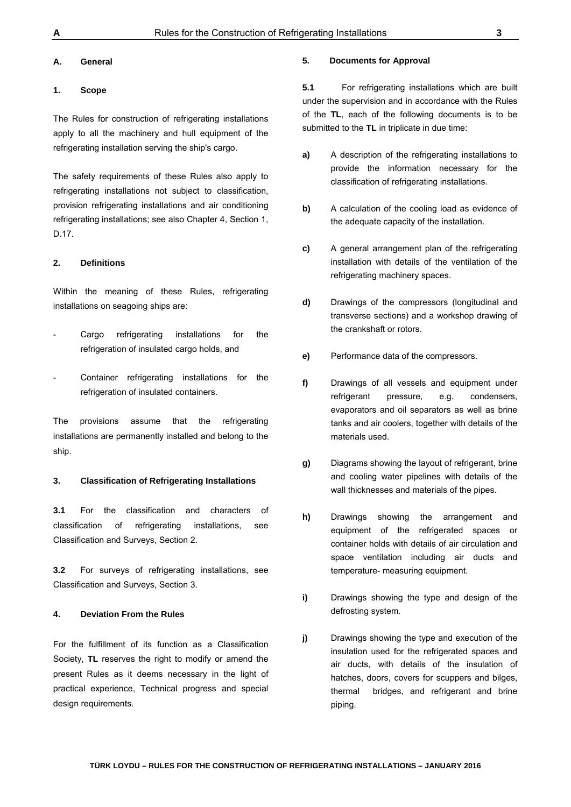#### **A. General**

# **1. Scope**

The Rules for construction of refrigerating installations apply to all the machinery and hull equipment of the refrigerating installation serving the ship's cargo.

The safety requirements of these Rules also apply to refrigerating installations not subject to classification, provision refrigerating installations and air conditioning refrigerating installations; see also Chapter 4, Section 1, D.17.

#### **2. Definitions**

Within the meaning of these Rules, refrigerating installations on seagoing ships are:

- Cargo refrigerating installations for the refrigeration of insulated cargo holds, and
- Container refrigerating installations for the refrigeration of insulated containers.

The provisions assume that the refrigerating installations are permanently installed and belong to the ship.

#### **3. Classification of Refrigerating Installations**

**3.1** For the classification and characters of classification of refrigerating installations, see Classification and Surveys, Section 2.

**3.2** For surveys of refrigerating installations, see Classification and Surveys, Section 3.

#### **4. Deviation From the Rules**

For the fulfillment of its function as a Classification Society, **TL** reserves the right to modify or amend the present Rules as it deems necessary in the light of practical experience, Technical progress and special design requirements.

#### **5. Documents for Approval**

**5.1** For refrigerating installations which are built under the supervision and in accordance with the Rules of the **TL**, each of the following documents is to be submitted to the **TL** in triplicate in due time:

- **a)** A description of the refrigerating installations to provide the information necessary for the classification of refrigerating installations.
- **b)** A calculation of the cooling load as evidence of the adequate capacity of the installation.
- **c)** A general arrangement plan of the refrigerating installation with details of the ventilation of the refrigerating machinery spaces.
- **d)** Drawings of the compressors (longitudinal and transverse sections) and a workshop drawing of the crankshaft or rotors.
- **e)** Performance data of the compressors.
- **f)** Drawings of all vessels and equipment under refrigerant pressure, e.g. condensers, evaporators and oil separators as well as brine tanks and air coolers, together with details of the materials used.
- **g)** Diagrams showing the layout of refrigerant, brine and cooling water pipelines with details of the wall thicknesses and materials of the pipes.
- **h)** Drawings showing the arrangement and equipment of the refrigerated spaces or container holds with details of air circulation and space ventilation including air ducts and temperature- measuring equipment.
- **i)** Drawings showing the type and design of the defrosting system.
- **j)** Drawings showing the type and execution of the insulation used for the refrigerated spaces and air ducts, with details of the insulation of hatches, doors, covers for scuppers and bilges, thermal bridges, and refrigerant and brine piping.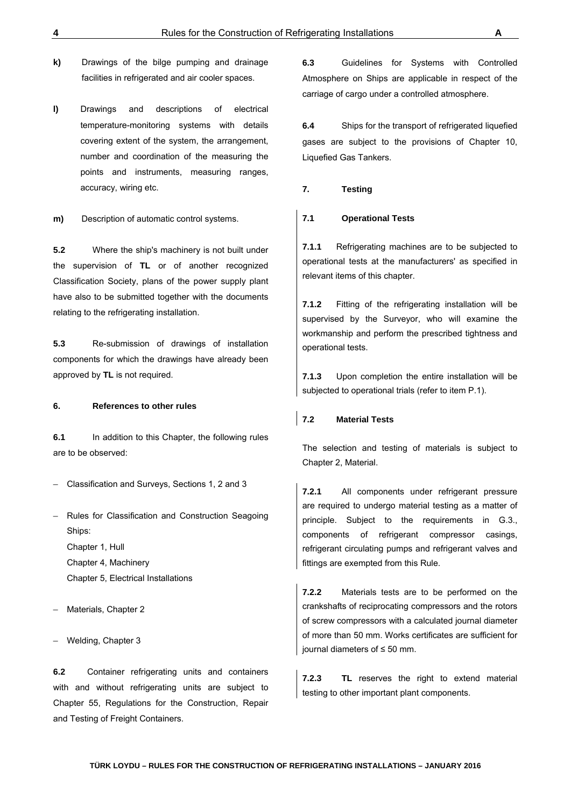- **k)** Drawings of the bilge pumping and drainage facilities in refrigerated and air cooler spaces.
- **l)** Drawings and descriptions of electrical temperature-monitoring systems with details covering extent of the system, the arrangement, number and coordination of the measuring the points and instruments, measuring ranges, accuracy, wiring etc.

**m)** Description of automatic control systems.

**5.2** Where the ship's machinery is not built under the supervision of **TL** or of another recognized Classification Society, plans of the power supply plant have also to be submitted together with the documents relating to the refrigerating installation.

**5.3** Re-submission of drawings of installation components for which the drawings have already been approved by **TL** is not required.

#### **6. References to other rules**

**6.1** In addition to this Chapter, the following rules are to be observed:

– Classification and Surveys, Sections 1, 2 and 3

– Rules for Classification and Construction Seagoing Ships:

Chapter 1, Hull Chapter 4, Machinery Chapter 5, Electrical Installations

Materials, Chapter 2

– Welding, Chapter 3

**6.2** Container refrigerating units and containers with and without refrigerating units are subject to Chapter 55, Regulations for the Construction, Repair and Testing of Freight Containers.

**6.3** Guidelines for Systems with Controlled Atmosphere on Ships are applicable in respect of the carriage of cargo under a controlled atmosphere.

**6.4** Ships for the transport of refrigerated liquefied gases are subject to the provisions of Chapter 10, Liquefied Gas Tankers.

**7. Testing** 

#### **7.1 Operational Tests**

**7.1.1** Refrigerating machines are to be subjected to operational tests at the manufacturers' as specified in relevant items of this chapter.

**7.1.2** Fitting of the refrigerating installation will be supervised by the Surveyor, who will examine the workmanship and perform the prescribed tightness and operational tests.

**7.1.3** Upon completion the entire installation will be subjected to operational trials (refer to item P.1).

# **7.2 Material Tests**

The selection and testing of materials is subject to Chapter 2, Material.

**7.2.1** All components under refrigerant pressure are required to undergo material testing as a matter of principle. Subject to the requirements in G.3., components of refrigerant compressor casings, refrigerant circulating pumps and refrigerant valves and fittings are exempted from this Rule.

**7.2.2** Materials tests are to be performed on the crankshafts of reciprocating compressors and the rotors of screw compressors with a calculated journal diameter of more than 50 mm. Works certificates are sufficient for journal diameters of ≤ 50 mm.

**7.2.3** TL reserves the right to extend material testing to other important plant components.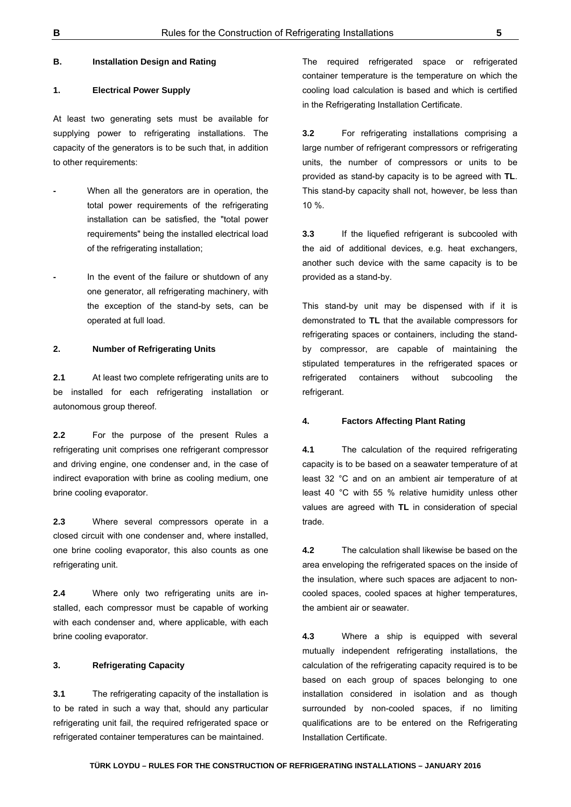#### **B. Installation Design and Rating**

#### **1. Electrical Power Supply**

At least two generating sets must be available for supplying power to refrigerating installations. The capacity of the generators is to be such that, in addition to other requirements:

- **-** When all the generators are in operation, the total power requirements of the refrigerating installation can be satisfied, the "total power requirements" being the installed electrical load of the refrigerating installation;
- **-** In the event of the failure or shutdown of any one generator, all refrigerating machinery, with the exception of the stand-by sets, can be operated at full load.

#### **2. Number of Refrigerating Units**

**2.1** At least two complete refrigerating units are to be installed for each refrigerating installation or autonomous group thereof.

**2.2** For the purpose of the present Rules a refrigerating unit comprises one refrigerant compressor and driving engine, one condenser and, in the case of indirect evaporation with brine as cooling medium, one brine cooling evaporator.

**2.3** Where several compressors operate in a closed circuit with one condenser and, where installed, one brine cooling evaporator, this also counts as one refrigerating unit.

**2.4** Where only two refrigerating units are installed, each compressor must be capable of working with each condenser and, where applicable, with each brine cooling evaporator.

#### **3. Refrigerating Capacity**

**3.1** The refrigerating capacity of the installation is to be rated in such a way that, should any particular refrigerating unit fail, the required refrigerated space or refrigerated container temperatures can be maintained.

The required refrigerated space or refrigerated container temperature is the temperature on which the cooling load calculation is based and which is certified in the Refrigerating Installation Certificate.

**3.2** For refrigerating installations comprising a large number of refrigerant compressors or refrigerating units, the number of compressors or units to be provided as stand-by capacity is to be agreed with **TL**. This stand-by capacity shall not, however, be less than 10 %.

**3.3** If the liquefied refrigerant is subcooled with the aid of additional devices, e.g. heat exchangers, another such device with the same capacity is to be provided as a stand-by.

This stand-by unit may be dispensed with if it is demonstrated to **TL** that the available compressors for refrigerating spaces or containers, including the standby compressor, are capable of maintaining the stipulated temperatures in the refrigerated spaces or refrigerated containers without subcooling the refrigerant.

#### **4. Factors Affecting Plant Rating**

**4.1** The calculation of the required refrigerating capacity is to be based on a seawater temperature of at least 32 °C and on an ambient air temperature of at least 40 °C with 55 % relative humidity unless other values are agreed with **TL** in consideration of special trade.

**4.2** The calculation shall likewise be based on the area enveloping the refrigerated spaces on the inside of the insulation, where such spaces are adjacent to noncooled spaces, cooled spaces at higher temperatures, the ambient air or seawater.

**4.3** Where a ship is equipped with several mutually independent refrigerating installations, the calculation of the refrigerating capacity required is to be based on each group of spaces belonging to one installation considered in isolation and as though surrounded by non-cooled spaces, if no limiting qualifications are to be entered on the Refrigerating Installation Certificate.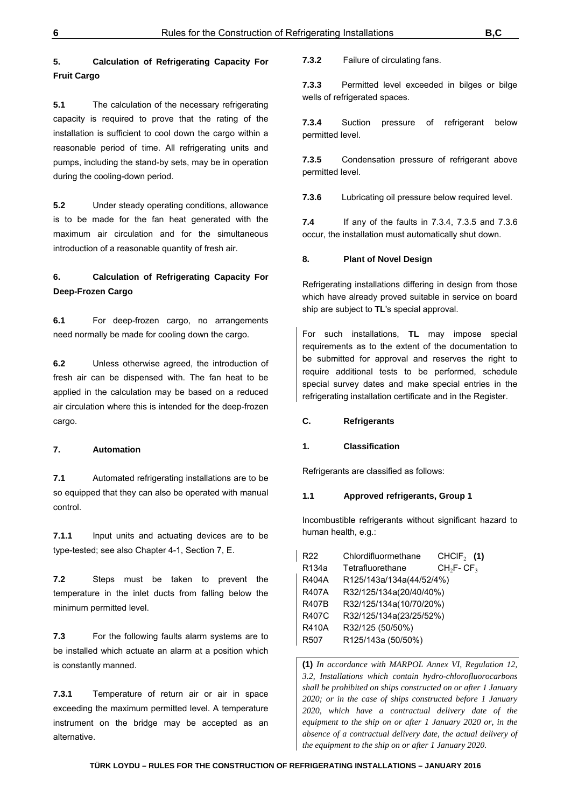# **5. Calculation of Refrigerating Capacity For Fruit Cargo**

**5.1** The calculation of the necessary refrigerating capacity is required to prove that the rating of the installation is sufficient to cool down the cargo within a reasonable period of time. All refrigerating units and pumps, including the stand-by sets, may be in operation during the cooling-down period.

**5.2** Under steady operating conditions, allowance is to be made for the fan heat generated with the maximum air circulation and for the simultaneous introduction of a reasonable quantity of fresh air.

# **6. Calculation of Refrigerating Capacity For Deep-Frozen Cargo**

**6.1** For deep-frozen cargo, no arrangements need normally be made for cooling down the cargo.

**6.2** Unless otherwise agreed, the introduction of fresh air can be dispensed with. The fan heat to be applied in the calculation may be based on a reduced air circulation where this is intended for the deep-frozen cargo.

#### **7. Automation**

**7.1** Automated refrigerating installations are to be so equipped that they can also be operated with manual control.

**7.1.1** Input units and actuating devices are to be type-tested; see also Chapter 4-1, Section 7, E.

**7.2** Steps must be taken to prevent the temperature in the inlet ducts from falling below the minimum permitted level.

**7.3** For the following faults alarm systems are to be installed which actuate an alarm at a position which is constantly manned.

**7.3.1** Temperature of return air or air in space exceeding the maximum permitted level. A temperature instrument on the bridge may be accepted as an alternative.

**7.3.2** Failure of circulating fans.

**7.3.3** Permitted level exceeded in bilges or bilge wells of refrigerated spaces.

**7.3.4** Suction pressure of refrigerant below permitted level.

**7.3.5** Condensation pressure of refrigerant above permitted level.

**7.3.6** Lubricating oil pressure below required level.

**7.4** If any of the faults in 7.3.4, 7.3.5 and 7.3.6 occur, the installation must automatically shut down.

#### **8. Plant of Novel Design**

Refrigerating installations differing in design from those which have already proved suitable in service on board ship are subject to **TL**'s special approval.

For such installations, **TL** may impose special requirements as to the extent of the documentation to be submitted for approval and reserves the right to require additional tests to be performed, schedule special survey dates and make special entries in the refrigerating installation certificate and in the Register.

#### **C. Refrigerants**

#### **1. Classification**

Refrigerants are classified as follows:

#### **1.1 Approved refrigerants, Group 1**

Incombustible refrigerants without significant hazard to human health, e.g.:

| R <sub>22</sub>  | Chlordifluormethane      | CHCIF <sub>2</sub> (1) |  |
|------------------|--------------------------|------------------------|--|
| R134a            | Tetrafluorethane         | $CH2F-CF3$             |  |
| <b>R404A</b>     | R125/143a/134a(44/52/4%) |                        |  |
| <b>R407A</b>     | R32/125/134a(20/40/40%)  |                        |  |
| <b>R407B</b>     | R32/125/134a(10/70/20%)  |                        |  |
| R407C            | R32/125/134a(23/25/52%)  |                        |  |
| <b>R410A</b>     | R32/125 (50/50%)         |                        |  |
| R <sub>507</sub> | R125/143a (50/50%)       |                        |  |

**(1)** *In accordance with MARPOL Annex VI, Regulation 12, 3.2, Installations which contain hydro-chlorofluorocarbons shall be prohibited on ships constructed on or after 1 January 2020; or in the case of ships constructed before 1 January 2020, which have a contractual delivery date of the equipment to the ship on or after 1 January 2020 or, in the absence of a contractual delivery date, the actual delivery of the equipment to the ship on or after 1 January 2020.*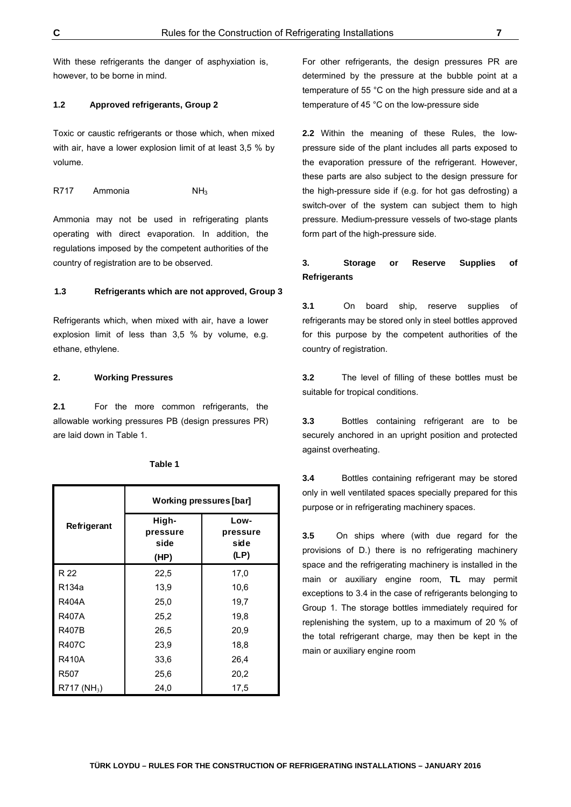With these refrigerants the danger of asphyxiation is, however, to be borne in mind.

#### **1.2 Approved refrigerants, Group 2**

Toxic or caustic refrigerants or those which, when mixed with air, have a lower explosion limit of at least 3,5 % by volume.

R717 Ammonia NH<sub>3</sub>

Ammonia may not be used in refrigerating plants operating with direct evaporation. In addition, the regulations imposed by the competent authorities of the country of registration are to be observed.

#### **1.3 Refrigerants which are not approved, Group 3**

Refrigerants which, when mixed with air, have a lower explosion limit of less than 3,5 % by volume, e.g. ethane, ethylene.

#### **2. Working Pressures**

**2.1** For the more common refrigerants, the allowable working pressures PB (design pressures PR) are laid down in Table 1.

|                         | Working pressures [bar]           |                                  |  |  |
|-------------------------|-----------------------------------|----------------------------------|--|--|
| Refrigerant             | High-<br>pressure<br>side<br>(HP) | Low-<br>pressure<br>side<br>(LP) |  |  |
| R 22                    | 22,5                              | 17,0                             |  |  |
| R134a                   | 13,9                              | 10,6                             |  |  |
| <b>R404A</b>            | 25,0                              | 19,7                             |  |  |
| <b>R407A</b>            | 25,2                              | 19,8                             |  |  |
| <b>R407B</b>            | 26,5                              | 20,9                             |  |  |
| <b>R407C</b>            | 23,9                              | 18,8                             |  |  |
| <b>R410A</b>            | 33,6                              | 26,4                             |  |  |
| R507                    | 25,6                              | 20,2                             |  |  |
| R717 (NH <sub>3</sub> ) | 24,0                              | 17,5                             |  |  |

**Table 1**

For other refrigerants, the design pressures PR are determined by the pressure at the bubble point at a temperature of 55 °C on the high pressure side and at a temperature of 45 °C on the low-pressure side

**2.2** Within the meaning of these Rules, the lowpressure side of the plant includes all parts exposed to the evaporation pressure of the refrigerant. However, these parts are also subject to the design pressure for the high-pressure side if (e.g. for hot gas defrosting) a switch-over of the system can subject them to high pressure. Medium-pressure vessels of two-stage plants form part of the high-pressure side.

# **3. Storage or Reserve Supplies of Refrigerants**

**3.1** On board ship, reserve supplies of refrigerants may be stored only in steel bottles approved for this purpose by the competent authorities of the country of registration.

**3.2** The level of filling of these bottles must be suitable for tropical conditions.

**3.3** Bottles containing refrigerant are to be securely anchored in an upright position and protected against overheating.

**3.4** Bottles containing refrigerant may be stored only in well ventilated spaces specially prepared for this purpose or in refrigerating machinery spaces.

**3.5** On ships where (with due regard for the provisions of D.) there is no refrigerating machinery space and the refrigerating machinery is installed in the main or auxiliary engine room, **TL** may permit exceptions to 3.4 in the case of refrigerants belonging to Group 1. The storage bottles immediately required for replenishing the system, up to a maximum of 20 % of the total refrigerant charge, may then be kept in the main or auxiliary engine room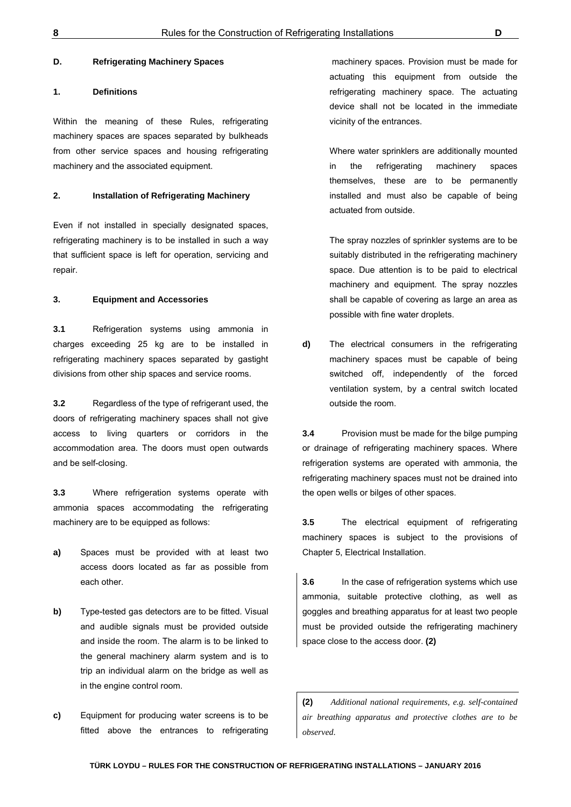#### **D. Refrigerating Machinery Spaces**

#### **1. Definitions**

Within the meaning of these Rules, refrigerating machinery spaces are spaces separated by bulkheads from other service spaces and housing refrigerating machinery and the associated equipment.

#### **2. Installation of Refrigerating Machinery**

Even if not installed in specially designated spaces, refrigerating machinery is to be installed in such a way that sufficient space is left for operation, servicing and repair.

#### **3. Equipment and Accessories**

**3.1** Refrigeration systems using ammonia in charges exceeding 25 kg are to be installed in refrigerating machinery spaces separated by gastight divisions from other ship spaces and service rooms.

**3.2** Regardless of the type of refrigerant used, the doors of refrigerating machinery spaces shall not give access to living quarters or corridors in the accommodation area. The doors must open outwards and be self-closing.

**3.3** Where refrigeration systems operate with ammonia spaces accommodating the refrigerating machinery are to be equipped as follows:

- **a)** Spaces must be provided with at least two access doors located as far as possible from each other.
- **b)** Type-tested gas detectors are to be fitted. Visual and audible signals must be provided outside and inside the room. The alarm is to be linked to the general machinery alarm system and is to trip an individual alarm on the bridge as well as in the engine control room.
- **c)** Equipment for producing water screens is to be fitted above the entrances to refrigerating

 machinery spaces. Provision must be made for actuating this equipment from outside the refrigerating machinery space. The actuating device shall not be located in the immediate vicinity of the entrances.

Where water sprinklers are additionally mounted in the refrigerating machinery spaces themselves, these are to be permanently installed and must also be capable of being actuated from outside.

The spray nozzles of sprinkler systems are to be suitably distributed in the refrigerating machinery space. Due attention is to be paid to electrical machinery and equipment. The spray nozzles shall be capable of covering as large an area as possible with fine water droplets.

**d)** The electrical consumers in the refrigerating machinery spaces must be capable of being switched off, independently of the forced ventilation system, by a central switch located outside the room.

**3.4** Provision must be made for the bilge pumping or drainage of refrigerating machinery spaces. Where refrigeration systems are operated with ammonia, the refrigerating machinery spaces must not be drained into the open wells or bilges of other spaces.

**3.5** The electrical equipment of refrigerating machinery spaces is subject to the provisions of Chapter 5, Electrical Installation.

**3.6** In the case of refrigeration systems which use ammonia, suitable protective clothing, as well as goggles and breathing apparatus for at least two people must be provided outside the refrigerating machinery space close to the access door. **(2)**

**(2)** *Additional national requirements, e.g. self-contained air breathing apparatus and protective clothes are to be observed*.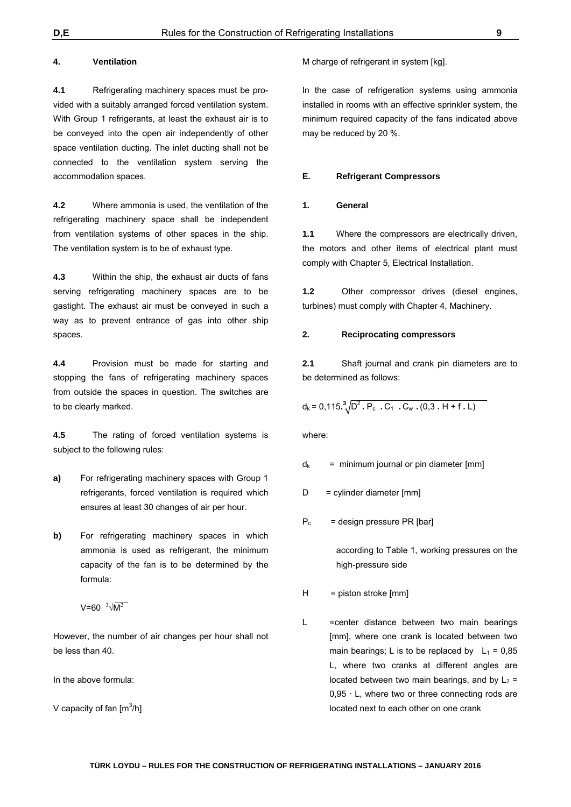#### **4. Ventilation**

**4.1** Refrigerating machinery spaces must be provided with a suitably arranged forced ventilation system. With Group 1 refrigerants, at least the exhaust air is to be conveyed into the open air independently of other space ventilation ducting. The inlet ducting shall not be connected to the ventilation system serving the accommodation spaces.

**4.2** Where ammonia is used, the ventilation of the refrigerating machinery space shall be independent from ventilation systems of other spaces in the ship. The ventilation system is to be of exhaust type.

**4.3** Within the ship, the exhaust air ducts of fans serving refrigerating machinery spaces are to be gastight. The exhaust air must be conveyed in such a way as to prevent entrance of gas into other ship spaces.

**4.4** Provision must be made for starting and stopping the fans of refrigerating machinery spaces from outside the spaces in question. The switches are to be clearly marked.

**4.5** The rating of forced ventilation systems is subject to the following rules:

- **a)** For refrigerating machinery spaces with Group 1 refrigerants, forced ventilation is required which ensures at least 30 changes of air per hour.
- **b)** For refrigerating machinery spaces in which ammonia is used as refrigerant, the minimum capacity of the fan is to be determined by the formula:

 $V = 60 \sqrt[3]{M^2}$ 

However, the number of air changes per hour shall not be less than 40.

In the above formula:

V capacity of fan  $[m^3/h]$ 

M charge of refrigerant in system [kg].

In the case of refrigeration systems using ammonia installed in rooms with an effective sprinkler system, the minimum required capacity of the fans indicated above may be reduced by 20 %.

#### **E. Refrigerant Compressors**

#### **1. General**

**1.1** Where the compressors are electrically driven, the motors and other items of electrical plant must comply with Chapter 5, Electrical Installation.

**1.2** Other compressor drives (diesel engines, turbines) must comply with Chapter 4, Machinery.

#### **2. Reciprocating compressors**

**2.1** Shaft journal and crank pin diameters are to be determined as follows:

 $d_k = 0.115 \cdot \frac{3}{2} \sqrt{D^2 \cdot P_c} \cdot C_1 \cdot C_w \cdot (0.3 \cdot H + f \cdot L)$ 

where:

 $d_k$  = minimum journal or pin diameter [mm]

- $D =$  cylinder diameter  $[mm]$
- $P_c$  = design pressure PR [bar]

according to Table 1, working pressures on the high-pressure side

- $H =$  piston stroke  $[mm]$
- L = center distance between two main bearings [mm], where one crank is located between two main bearings; L is to be replaced by  $L_1 = 0.85$ L, where two cranks at different angles are located between two main bearings, and by  $L_2$  =  $0.95 \cdot L$ , where two or three connecting rods are located next to each other on one crank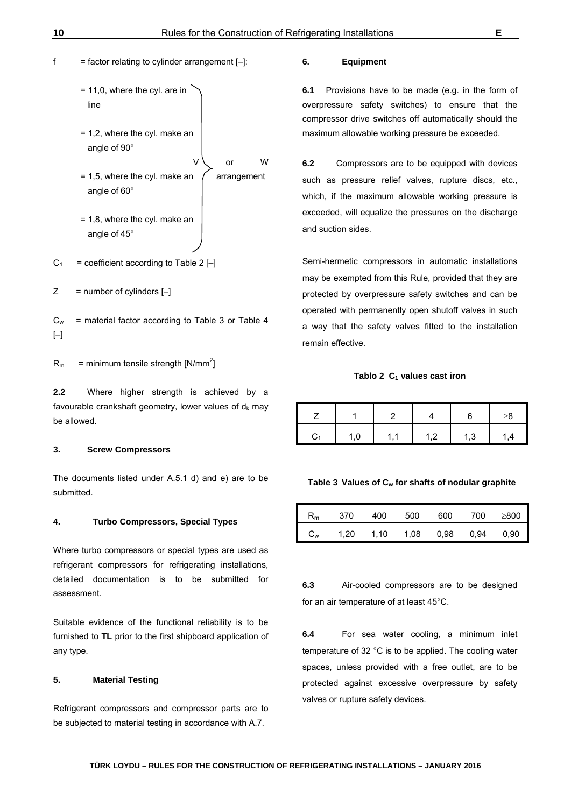# $f =$  factor relating to cylinder arrangement  $[-]$ :

- = 11,0, where the cyl. are in line
- = 1,2, where the cyl. make an angle of 90°
- V or W = 1,5, where the cyl. make an  $\int$  arrangement angle of 60°
- = 1,8, where the cyl. make an angle of 45°
- $C_1$  = coefficient according to Table 2 [-]
- $Z =$  number of cylinders  $[-]$
- $C_w$  = material factor according to Table 3 or Table 4  $[-]$

 $R_m$  = minimum tensile strength [N/mm<sup>2</sup>]

**2.2** Where higher strength is achieved by a favourable crankshaft geometry, lower values of  $d_k$  may be allowed.

#### **3. Screw Compressors**

The documents listed under A.5.1 d) and e) are to be submitted.

#### **4. Turbo Compressors, Special Types**

Where turbo compressors or special types are used as refrigerant compressors for refrigerating installations, detailed documentation is to be submitted for assessment.

Suitable evidence of the functional reliability is to be furnished to **TL** prior to the first shipboard application of any type.

#### **5. Material Testing**

Refrigerant compressors and compressor parts are to be subjected to material testing in accordance with A.7.

#### **6. Equipment**

**6.1** Provisions have to be made (e.g. in the form of overpressure safety switches) to ensure that the compressor drive switches off automatically should the maximum allowable working pressure be exceeded.

**6.2** Compressors are to be equipped with devices such as pressure relief valves, rupture discs, etc., which, if the maximum allowable working pressure is exceeded, will equalize the pressures on the discharge and suction sides.

Semi-hermetic compressors in automatic installations may be exempted from this Rule, provided that they are protected by overpressure safety switches and can be operated with permanently open shutoff valves in such a way that the safety valves fitted to the installation remain effective.

#### Tablo 2 C<sub>1</sub> values cast iron

|   |     |     |     |     | $\geq 8$      |
|---|-----|-----|-----|-----|---------------|
| I | 1,0 | 1.1 | 1.2 | 1,3 | $\mathcal{A}$ |

#### Table 3 Values of C<sub>w</sub> for shafts of nodular graphite

| Rm                        | 370  | 400  | 500  | 600  | 700  | >800 |
|---------------------------|------|------|------|------|------|------|
| $\mathtt{C}_{\mathsf{w}}$ | 1,20 | 1,10 | 1,08 | 0,98 | 0,94 | 0,90 |

**6.3** Air-cooled compressors are to be designed for an air temperature of at least 45°C.

**6.4** For sea water cooling, a minimum inlet temperature of 32 °C is to be applied. The cooling water spaces, unless provided with a free outlet, are to be protected against excessive overpressure by safety valves or rupture safety devices.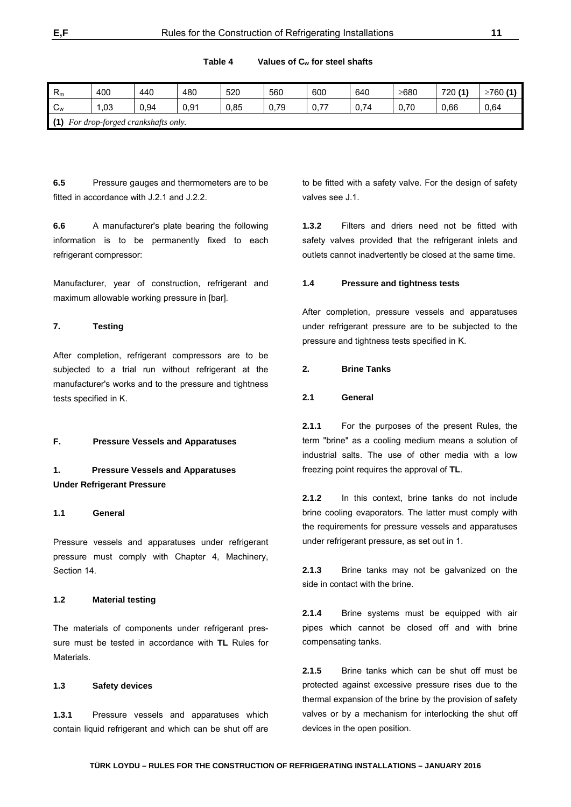**Table 4 Values of Cw for steel shafts**

| $R_m$                                    | 400 | 440  | 480  | 520  | 560  | 600  | 640  | ≥680 | 720 (1) | ≥760 $(1)$ |
|------------------------------------------|-----|------|------|------|------|------|------|------|---------|------------|
| $\sim$<br>$\mathsf{v}_\mathsf{w}$        | ,03 | 0,94 | 0,91 | 0,85 | 0,79 | 0,77 | 0,74 | 0,70 | 0,66    | 0,64       |
| (1)<br>For drop-forged crankshafts only. |     |      |      |      |      |      |      |      |         |            |

**6.5** Pressure gauges and thermometers are to be fitted in accordance with J.2.1 and J.2.2.

**6.6** A manufacturer's plate bearing the following information is to be permanently fixed to each refrigerant compressor:

Manufacturer, year of construction, refrigerant and maximum allowable working pressure in [bar].

# **7. Testing**

After completion, refrigerant compressors are to be subjected to a trial run without refrigerant at the manufacturer's works and to the pressure and tightness tests specified in K.

#### **F. Pressure Vessels and Apparatuses**

# **1. Pressure Vessels and Apparatuses Under Refrigerant Pressure**

#### **1.1 General**

Pressure vessels and apparatuses under refrigerant pressure must comply with Chapter 4, Machinery, Section 14.

#### **1.2 Material testing**

The materials of components under refrigerant pressure must be tested in accordance with **TL** Rules for **Materials** 

#### **1.3 Safety devices**

**1.3.1** Pressure vessels and apparatuses which contain liquid refrigerant and which can be shut off are to be fitted with a safety valve. For the design of safety valves see J.1.

**1.3.2** Filters and driers need not be fitted with safety valves provided that the refrigerant inlets and outlets cannot inadvertently be closed at the same time.

#### **1.4 Pressure and tightness tests**

After completion, pressure vessels and apparatuses under refrigerant pressure are to be subjected to the pressure and tightness tests specified in K.

#### **2. Brine Tanks**

#### **2.1 General**

**2.1.1** For the purposes of the present Rules, the term "brine" as a cooling medium means a solution of industrial salts. The use of other media with a low freezing point requires the approval of **TL**.

**2.1.2** In this context, brine tanks do not include brine cooling evaporators. The latter must comply with the requirements for pressure vessels and apparatuses under refrigerant pressure, as set out in 1.

**2.1.3** Brine tanks may not be galvanized on the side in contact with the brine.

**2.1.4** Brine systems must be equipped with air pipes which cannot be closed off and with brine compensating tanks.

**2.1.5** Brine tanks which can be shut off must be protected against excessive pressure rises due to the thermal expansion of the brine by the provision of safety valves or by a mechanism for interlocking the shut off devices in the open position.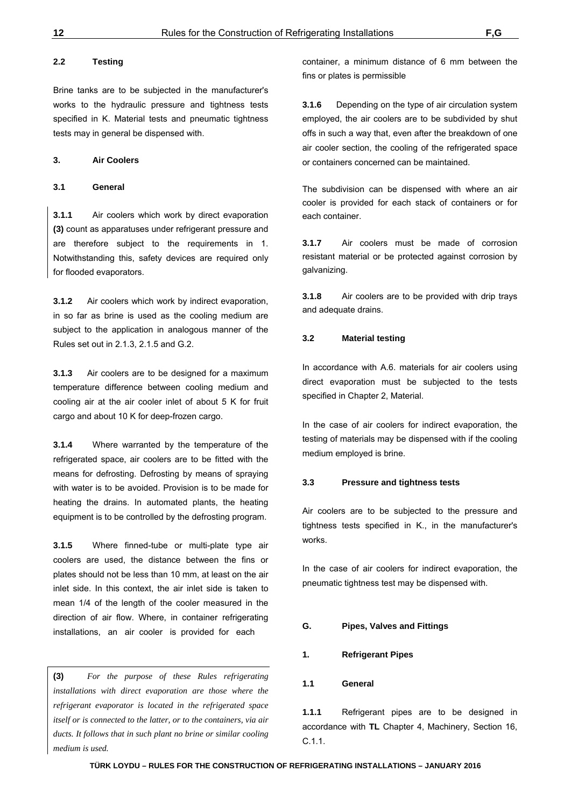#### **2.2 Testing**

Brine tanks are to be subjected in the manufacturer's works to the hydraulic pressure and tightness tests specified in K. Material tests and pneumatic tightness tests may in general be dispensed with.

#### **3. Air Coolers**

#### **3.1 General**

**3.1.1** Air coolers which work by direct evaporation **(3)** count as apparatuses under refrigerant pressure and are therefore subject to the requirements in 1. Notwithstanding this, safety devices are required only for flooded evaporators.

**3.1.2** Air coolers which work by indirect evaporation, in so far as brine is used as the cooling medium are subject to the application in analogous manner of the Rules set out in 2.1.3, 2.1.5 and G.2.

**3.1.3** Air coolers are to be designed for a maximum temperature difference between cooling medium and cooling air at the air cooler inlet of about 5 K for fruit cargo and about 10 K for deep-frozen cargo.

**3.1.4** Where warranted by the temperature of the refrigerated space, air coolers are to be fitted with the means for defrosting. Defrosting by means of spraying with water is to be avoided. Provision is to be made for heating the drains. In automated plants, the heating equipment is to be controlled by the defrosting program.

**3.1.5** Where finned-tube or multi-plate type air coolers are used, the distance between the fins or plates should not be less than 10 mm, at least on the air inlet side. In this context, the air inlet side is taken to mean 1/4 of the length of the cooler measured in the direction of air flow. Where, in container refrigerating installations, an air cooler is provided for each

**(3)** *For the purpose of these Rules refrigerating installations with direct evaporation are those where the refrigerant evaporator is located in the refrigerated space itself or is connected to the latter, or to the containers, via air ducts. It follows that in such plant no brine or similar cooling medium is used.* 

container, a minimum distance of 6 mm between the fins or plates is permissible

**3.1.6** Depending on the type of air circulation system employed, the air coolers are to be subdivided by shut offs in such a way that, even after the breakdown of one air cooler section, the cooling of the refrigerated space or containers concerned can be maintained.

The subdivision can be dispensed with where an air cooler is provided for each stack of containers or for each container.

**3.1.7** Air coolers must be made of corrosion resistant material or be protected against corrosion by galvanizing.

**3.1.8** Air coolers are to be provided with drip trays and adequate drains.

## **3.2 Material testing**

In accordance with A.6. materials for air coolers using direct evaporation must be subjected to the tests specified in Chapter 2, Material.

In the case of air coolers for indirect evaporation, the testing of materials may be dispensed with if the cooling medium employed is brine.

#### **3.3 Pressure and tightness tests**

Air coolers are to be subjected to the pressure and tightness tests specified in K., in the manufacturer's works.

In the case of air coolers for indirect evaporation, the pneumatic tightness test may be dispensed with.

#### **G. Pipes, Valves and Fittings**

#### **1. Refrigerant Pipes**

#### **1.1 General**

**1.1.1** Refrigerant pipes are to be designed in accordance with **TL** Chapter 4, Machinery, Section 16, C.1.1.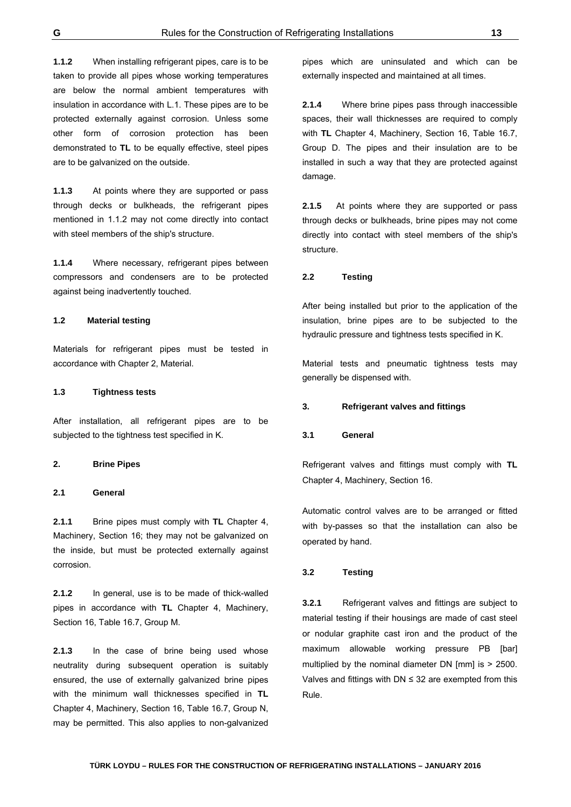**1.1.2** When installing refrigerant pipes, care is to be taken to provide all pipes whose working temperatures are below the normal ambient temperatures with insulation in accordance with L.1. These pipes are to be protected externally against corrosion. Unless some other form of corrosion protection has been demonstrated to **TL** to be equally effective, steel pipes are to be galvanized on the outside.

**1.1.3** At points where they are supported or pass through decks or bulkheads, the refrigerant pipes mentioned in 1.1.2 may not come directly into contact with steel members of the ship's structure.

**1.1.4** Where necessary, refrigerant pipes between compressors and condensers are to be protected against being inadvertently touched.

#### **1.2 Material testing**

Materials for refrigerant pipes must be tested in accordance with Chapter 2, Material.

#### **1.3 Tightness tests**

After installation, all refrigerant pipes are to be subjected to the tightness test specified in K.

#### **2. Brine Pipes**

#### **2.1 General**

**2.1.1** Brine pipes must comply with **TL** Chapter 4, Machinery, Section 16; they may not be galvanized on the inside, but must be protected externally against corrosion.

**2.1.2** In general, use is to be made of thick-walled pipes in accordance with **TL** Chapter 4, Machinery, Section 16, Table 16.7, Group M.

**2.1.3** In the case of brine being used whose neutrality during subsequent operation is suitably ensured, the use of externally galvanized brine pipes with the minimum wall thicknesses specified in **TL**  Chapter 4, Machinery, Section 16, Table 16.7, Group N, may be permitted. This also applies to non-galvanized

pipes which are uninsulated and which can be externally inspected and maintained at all times.

**2.1.4** Where brine pipes pass through inaccessible spaces, their wall thicknesses are required to comply with **TL** Chapter 4, Machinery, Section 16, Table 16.7, Group D. The pipes and their insulation are to be installed in such a way that they are protected against damage.

**2.1.5** At points where they are supported or pass through decks or bulkheads, brine pipes may not come directly into contact with steel members of the ship's structure.

#### **2.2 Testing**

After being installed but prior to the application of the insulation, brine pipes are to be subjected to the hydraulic pressure and tightness tests specified in K.

Material tests and pneumatic tightness tests may generally be dispensed with.

#### **3. Refrigerant valves and fittings**

#### **3.1 General**

Refrigerant valves and fittings must comply with **TL** Chapter 4, Machinery, Section 16.

Automatic control valves are to be arranged or fitted with by-passes so that the installation can also be operated by hand.

#### **3.2 Testing**

**3.2.1** Refrigerant valves and fittings are subject to material testing if their housings are made of cast steel or nodular graphite cast iron and the product of the maximum allowable working pressure PB [bar] multiplied by the nominal diameter DN [mm] is > 2500. Valves and fittings with  $DN ≤ 32$  are exempted from this Rule.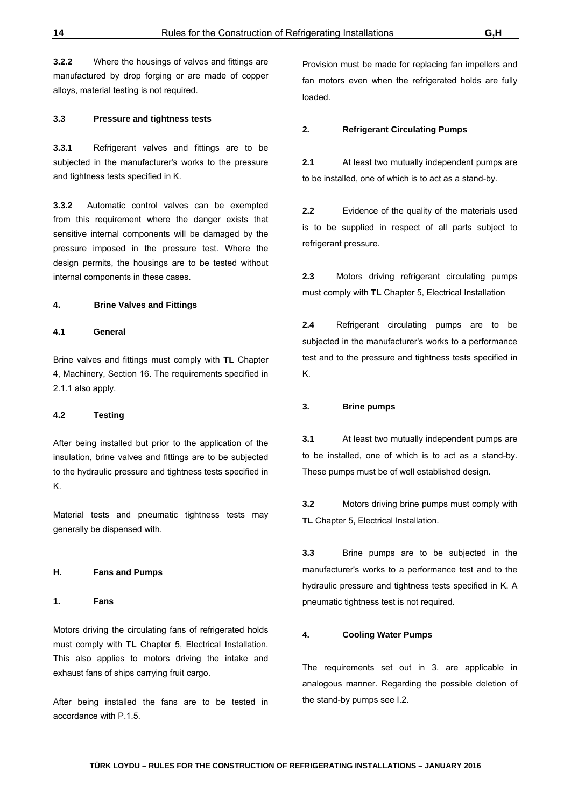**3.2.2** Where the housings of valves and fittings are manufactured by drop forging or are made of copper alloys, material testing is not required.

#### **3.3 Pressure and tightness tests**

**3.3.1** Refrigerant valves and fittings are to be subjected in the manufacturer's works to the pressure and tightness tests specified in K.

**3.3.2** Automatic control valves can be exempted from this requirement where the danger exists that sensitive internal components will be damaged by the pressure imposed in the pressure test. Where the design permits, the housings are to be tested without internal components in these cases.

#### **4. Brine Valves and Fittings**

#### **4.1 General**

Brine valves and fittings must comply with **TL** Chapter 4, Machinery, Section 16. The requirements specified in 2.1.1 also apply.

#### **4.2 Testing**

After being installed but prior to the application of the insulation, brine valves and fittings are to be subjected to the hydraulic pressure and tightness tests specified in K.

Material tests and pneumatic tightness tests may generally be dispensed with.

#### **H. Fans and Pumps**

**1. Fans**

Motors driving the circulating fans of refrigerated holds must comply with **TL** Chapter 5, Electrical Installation. This also applies to motors driving the intake and exhaust fans of ships carrying fruit cargo.

After being installed the fans are to be tested in accordance with P.1.5.

Provision must be made for replacing fan impellers and fan motors even when the refrigerated holds are fully loaded.

#### **2. Refrigerant Circulating Pumps**

**2.1** At least two mutually independent pumps are to be installed, one of which is to act as a stand-by.

**2.2** Evidence of the quality of the materials used is to be supplied in respect of all parts subject to refrigerant pressure.

**2.3** Motors driving refrigerant circulating pumps must comply with **TL** Chapter 5, Electrical Installation

**2.4** Refrigerant circulating pumps are to be subjected in the manufacturer's works to a performance test and to the pressure and tightness tests specified in K.

#### **3. Brine pumps**

**3.1** At least two mutually independent pumps are to be installed, one of which is to act as a stand-by. These pumps must be of well established design.

**3.2** Motors driving brine pumps must comply with **TL** Chapter 5, Electrical Installation.

**3.3** Brine pumps are to be subjected in the manufacturer's works to a performance test and to the hydraulic pressure and tightness tests specified in K. A pneumatic tightness test is not required.

#### **4. Cooling Water Pumps**

The requirements set out in 3. are applicable in analogous manner. Regarding the possible deletion of the stand-by pumps see I.2.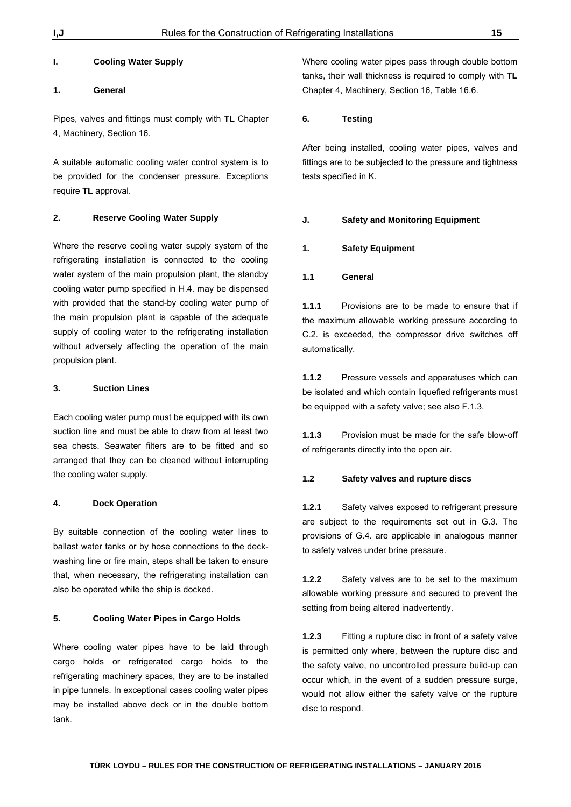#### **I. Cooling Water Supply**

# **1. General**

Pipes, valves and fittings must comply with **TL** Chapter 4, Machinery, Section 16.

A suitable automatic cooling water control system is to be provided for the condenser pressure. Exceptions require **TL** approval.

#### **2. Reserve Cooling Water Supply**

Where the reserve cooling water supply system of the refrigerating installation is connected to the cooling water system of the main propulsion plant, the standby cooling water pump specified in H.4. may be dispensed with provided that the stand-by cooling water pump of the main propulsion plant is capable of the adequate supply of cooling water to the refrigerating installation without adversely affecting the operation of the main propulsion plant.

#### **3. Suction Lines**

Each cooling water pump must be equipped with its own suction line and must be able to draw from at least two sea chests. Seawater filters are to be fitted and so arranged that they can be cleaned without interrupting the cooling water supply.

#### **4. Dock Operation**

By suitable connection of the cooling water lines to ballast water tanks or by hose connections to the deckwashing line or fire main, steps shall be taken to ensure that, when necessary, the refrigerating installation can also be operated while the ship is docked.

#### **5. Cooling Water Pipes in Cargo Holds**

Where cooling water pipes have to be laid through cargo holds or refrigerated cargo holds to the refrigerating machinery spaces, they are to be installed in pipe tunnels. In exceptional cases cooling water pipes may be installed above deck or in the double bottom tank.

Where cooling water pipes pass through double bottom tanks, their wall thickness is required to comply with **TL** Chapter 4, Machinery, Section 16, Table 16.6.

#### **6. Testing**

After being installed, cooling water pipes, valves and fittings are to be subjected to the pressure and tightness tests specified in K.

#### **J. Safety and Monitoring Equipment**

#### **1. Safety Equipment**

#### **1.1 General**

**1.1.1** Provisions are to be made to ensure that if the maximum allowable working pressure according to C.2. is exceeded, the compressor drive switches off automatically.

**1.1.2** Pressure vessels and apparatuses which can be isolated and which contain liquefied refrigerants must be equipped with a safety valve; see also F.1.3.

**1.1.3** Provision must be made for the safe blow-off of refrigerants directly into the open air.

#### **1.2 Safety valves and rupture discs**

**1.2.1** Safety valves exposed to refrigerant pressure are subject to the requirements set out in G.3. The provisions of G.4. are applicable in analogous manner to safety valves under brine pressure.

**1.2.2** Safety valves are to be set to the maximum allowable working pressure and secured to prevent the setting from being altered inadvertently.

**1.2.3** Fitting a rupture disc in front of a safety valve is permitted only where, between the rupture disc and the safety valve, no uncontrolled pressure build-up can occur which, in the event of a sudden pressure surge, would not allow either the safety valve or the rupture disc to respond.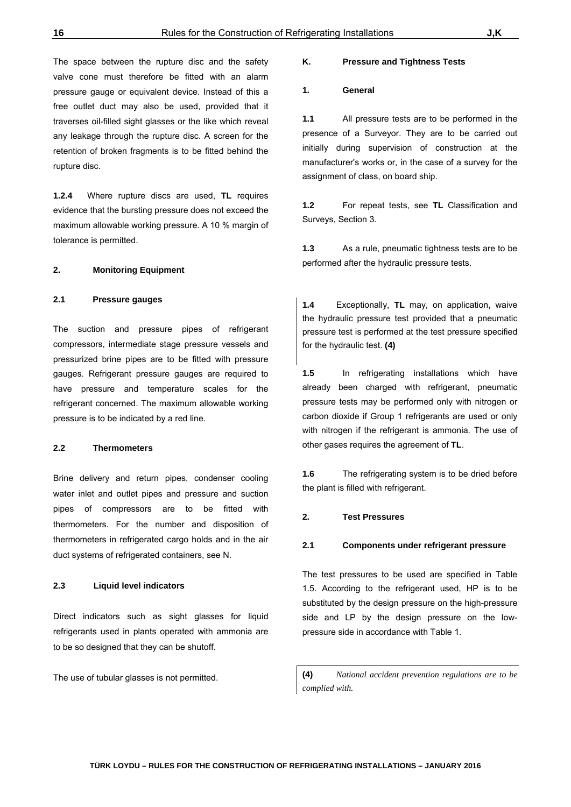The space between the rupture disc and the safety valve cone must therefore be fitted with an alarm pressure gauge or equivalent device. Instead of this a free outlet duct may also be used, provided that it traverses oil-filled sight glasses or the like which reveal any leakage through the rupture disc. A screen for the retention of broken fragments is to be fitted behind the rupture disc.

**1.2.4** Where rupture discs are used, **TL** requires evidence that the bursting pressure does not exceed the maximum allowable working pressure. A 10 % margin of tolerance is permitted.

#### **2. Monitoring Equipment**

#### **2.1 Pressure gauges**

The suction and pressure pipes of refrigerant compressors, intermediate stage pressure vessels and pressurized brine pipes are to be fitted with pressure gauges. Refrigerant pressure gauges are required to have pressure and temperature scales for the refrigerant concerned. The maximum allowable working pressure is to be indicated by a red line.

#### **2.2 Thermometers**

Brine delivery and return pipes, condenser cooling water inlet and outlet pipes and pressure and suction pipes of compressors are to be fitted with thermometers. For the number and disposition of thermometers in refrigerated cargo holds and in the air duct systems of refrigerated containers, see N.

#### **2.3 Liquid level indicators**

Direct indicators such as sight glasses for liquid refrigerants used in plants operated with ammonia are to be so designed that they can be shutoff.

The use of tubular glasses is not permitted.

#### **K. Pressure and Tightness Tests**

#### **1. General**

**1.1** All pressure tests are to be performed in the presence of a Surveyor. They are to be carried out initially during supervision of construction at the manufacturer's works or, in the case of a survey for the assignment of class, on board ship.

**1.2** For repeat tests, see **TL** Classification and Surveys, Section 3.

**1.3** As a rule, pneumatic tightness tests are to be performed after the hydraulic pressure tests.

**1.4** Exceptionally, **TL** may, on application, waive the hydraulic pressure test provided that a pneumatic pressure test is performed at the test pressure specified for the hydraulic test. **(4)** 

**1.5** In refrigerating installations which have already been charged with refrigerant, pneumatic pressure tests may be performed only with nitrogen or carbon dioxide if Group 1 refrigerants are used or only with nitrogen if the refrigerant is ammonia. The use of other gases requires the agreement of **TL**.

**1.6** The refrigerating system is to be dried before the plant is filled with refrigerant.

#### **2. Test Pressures**

#### **2.1 Components under refrigerant pressure**

The test pressures to be used are specified in Table 1.5. According to the refrigerant used, HP is to be substituted by the design pressure on the high-pressure side and LP by the design pressure on the lowpressure side in accordance with Table 1.

**(4)** *National accident prevention regulations are to be complied with.*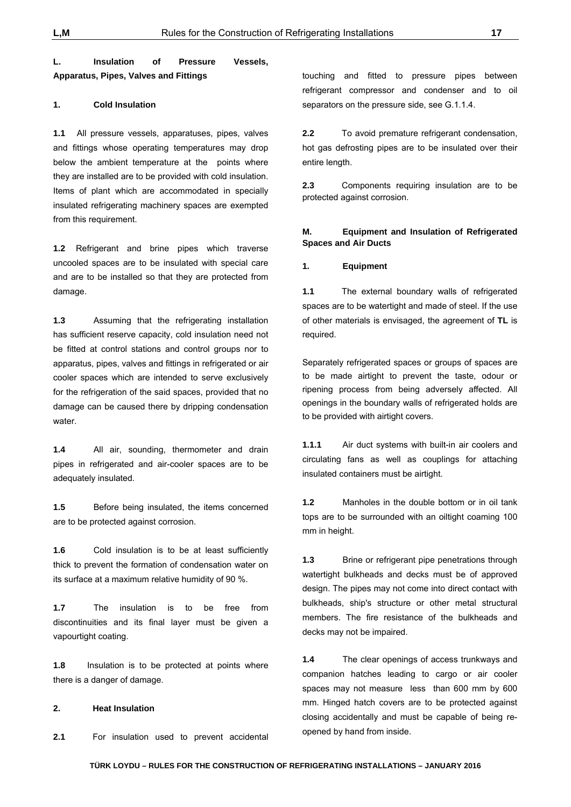# **L. Insulation of Pressure Vessels, Apparatus, Pipes, Valves and Fittings**

#### **1. Cold Insulation**

**1.1** All pressure vessels, apparatuses, pipes, valves and fittings whose operating temperatures may drop below the ambient temperature at the points where they are installed are to be provided with cold insulation. Items of plant which are accommodated in specially insulated refrigerating machinery spaces are exempted from this requirement.

**1.2** Refrigerant and brine pipes which traverse uncooled spaces are to be insulated with special care and are to be installed so that they are protected from damage.

**1.3** Assuming that the refrigerating installation has sufficient reserve capacity, cold insulation need not be fitted at control stations and control groups nor to apparatus, pipes, valves and fittings in refrigerated or air cooler spaces which are intended to serve exclusively for the refrigeration of the said spaces, provided that no damage can be caused there by dripping condensation water.

**1.4** All air, sounding, thermometer and drain pipes in refrigerated and air-cooler spaces are to be adequately insulated.

**1.5** Before being insulated, the items concerned are to be protected against corrosion.

**1.6** Cold insulation is to be at least sufficiently thick to prevent the formation of condensation water on its surface at a maximum relative humidity of 90 %.

**1.7** The insulation is to be free from discontinuities and its final layer must be given a vapourtight coating.

**1.8** Insulation is to be protected at points where there is a danger of damage.

#### **2. Heat Insulation**

**2.1** For insulation used to prevent accidental

touching and fitted to pressure pipes between refrigerant compressor and condenser and to oil separators on the pressure side, see G.1.1.4.

**2.2** To avoid premature refrigerant condensation, hot gas defrosting pipes are to be insulated over their entire length.

**2.3** Components requiring insulation are to be protected against corrosion.

#### **M. Equipment and Insulation of Refrigerated Spaces and Air Ducts**

#### **1. Equipment**

**1.1** The external boundary walls of refrigerated spaces are to be watertight and made of steel. If the use of other materials is envisaged, the agreement of **TL** is required.

Separately refrigerated spaces or groups of spaces are to be made airtight to prevent the taste, odour or ripening process from being adversely affected. All openings in the boundary walls of refrigerated holds are to be provided with airtight covers.

**1.1.1** Air duct systems with built-in air coolers and circulating fans as well as couplings for attaching insulated containers must be airtight.

**1.2** Manholes in the double bottom or in oil tank tops are to be surrounded with an oiltight coaming 100 mm in height.

**1.3** Brine or refrigerant pipe penetrations through watertight bulkheads and decks must be of approved design. The pipes may not come into direct contact with bulkheads, ship's structure or other metal structural members. The fire resistance of the bulkheads and decks may not be impaired.

**1.4** The clear openings of access trunkways and companion hatches leading to cargo or air cooler spaces may not measure less than 600 mm by 600 mm. Hinged hatch covers are to be protected against closing accidentally and must be capable of being reopened by hand from inside.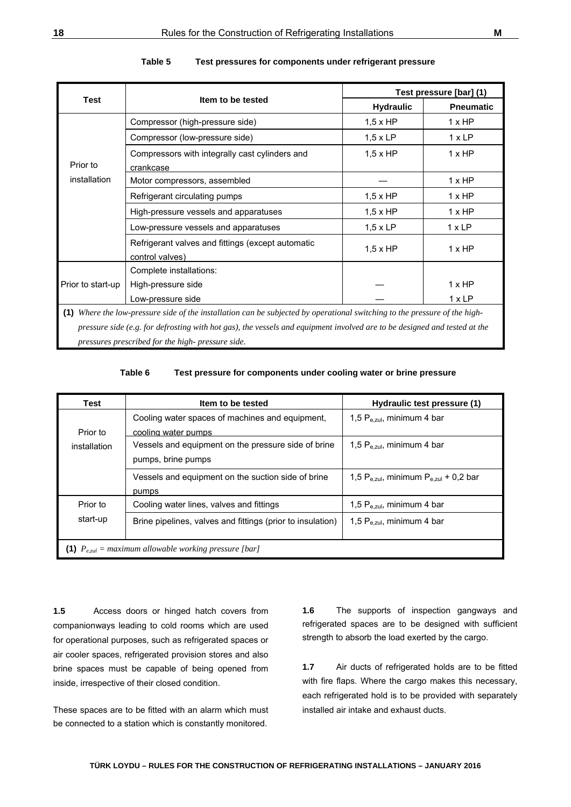|                                                                                                                            |                                                                                                                           |                  | Test pressure [bar] (1) |  |
|----------------------------------------------------------------------------------------------------------------------------|---------------------------------------------------------------------------------------------------------------------------|------------------|-------------------------|--|
| <b>Test</b>                                                                                                                | Item to be tested                                                                                                         | <b>Hydraulic</b> | <b>Pneumatic</b>        |  |
|                                                                                                                            | Compressor (high-pressure side)                                                                                           | $1,5 \times HP$  | 1xHP                    |  |
|                                                                                                                            | Compressor (low-pressure side)                                                                                            | $1,5 \times LP$  | 1xLP                    |  |
| Prior to                                                                                                                   | Compressors with integrally cast cylinders and<br>crankcase                                                               | $1.5 \times HP$  | $1 \times HP$           |  |
| installation                                                                                                               | Motor compressors, assembled                                                                                              |                  | 1xHP                    |  |
|                                                                                                                            | Refrigerant circulating pumps                                                                                             | $1,5 \times HP$  | 1xHP                    |  |
|                                                                                                                            | High-pressure vessels and apparatuses                                                                                     | $1,5 \times HP$  | 1xHP                    |  |
|                                                                                                                            | Low-pressure vessels and apparatuses                                                                                      | $1,5 \times LP$  | 1xLP                    |  |
|                                                                                                                            | Refrigerant valves and fittings (except automatic<br>control valves)                                                      | $1.5 \times HP$  | 1xHP                    |  |
|                                                                                                                            | Complete installations:                                                                                                   |                  |                         |  |
| Prior to start-up                                                                                                          | High-pressure side                                                                                                        |                  | 1xHP                    |  |
|                                                                                                                            | Low-pressure side                                                                                                         |                  | 1xLP                    |  |
| (1) Where the low-pressure side of the installation can be subjected by operational switching to the pressure of the high- |                                                                                                                           |                  |                         |  |
|                                                                                                                            | pressure side (e.g. for defrosting with hot gas), the vessels and equipment involved are to be designed and tested at the |                  |                         |  |
| pressures prescribed for the high-pressure side.                                                                           |                                                                                                                           |                  |                         |  |

| Table 5 |  |  | Test pressures for components under refrigerant pressure |
|---------|--|--|----------------------------------------------------------|
|---------|--|--|----------------------------------------------------------|

**Table 6 Test pressure for components under cooling water or brine pressure**

| Test         | Item to be tested                                                | Hydraulic test pressure (1)                       |
|--------------|------------------------------------------------------------------|---------------------------------------------------|
|              | Cooling water spaces of machines and equipment,                  | 1,5 $P_{e, zul}$ , minimum 4 bar                  |
| Prior to     | cooling water pumps                                              |                                                   |
| installation | Vessels and equipment on the pressure side of brine              | 1,5 $P_{e, zul}$ , minimum 4 bar                  |
|              | pumps, brine pumps                                               |                                                   |
|              | Vessels and equipment on the suction side of brine               | 1,5 $P_{e, zul}$ , minimum $P_{e, zul}$ + 0,2 bar |
|              | pumps                                                            |                                                   |
| Prior to     | Cooling water lines, valves and fittings                         | 1,5 $P_{e, zul}$ , minimum 4 bar                  |
| start-up     | Brine pipelines, valves and fittings (prior to insulation)       | 1,5 $P_{e, zul}$ , minimum 4 bar                  |
|              |                                                                  |                                                   |
|              | (1) $P_{\text{eval}} =$ maximum allowable working pressure [bar] |                                                   |

**1.5** Access doors or hinged hatch covers from companionways leading to cold rooms which are used for operational purposes, such as refrigerated spaces or air cooler spaces, refrigerated provision stores and also brine spaces must be capable of being opened from inside, irrespective of their closed condition.

These spaces are to be fitted with an alarm which must be connected to a station which is constantly monitored.

**1.6** The supports of inspection gangways and refrigerated spaces are to be designed with sufficient strength to absorb the load exerted by the cargo.

**1.7** Air ducts of refrigerated holds are to be fitted with fire flaps. Where the cargo makes this necessary, each refrigerated hold is to be provided with separately installed air intake and exhaust ducts.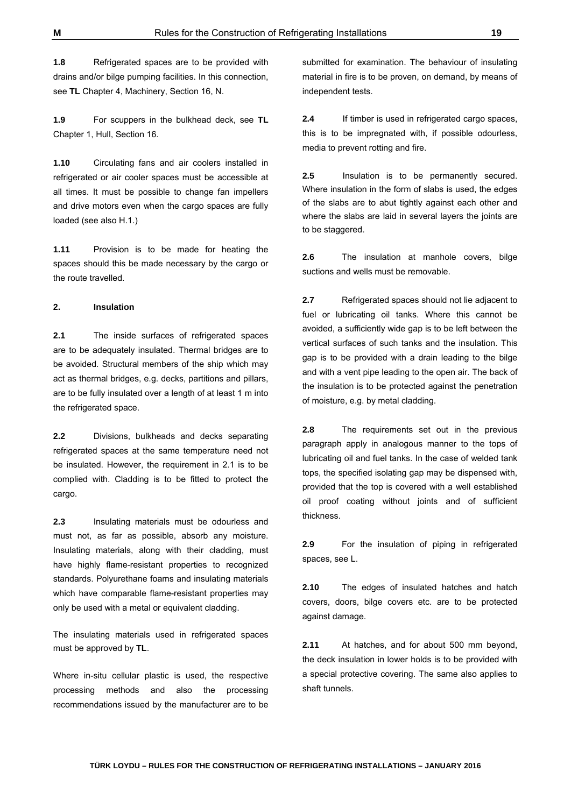**1.8** Refrigerated spaces are to be provided with drains and/or bilge pumping facilities. In this connection, see **TL** Chapter 4, Machinery, Section 16, N.

**1.9** For scuppers in the bulkhead deck, see **TL** Chapter 1, Hull, Section 16.

**1.10** Circulating fans and air coolers installed in refrigerated or air cooler spaces must be accessible at all times. It must be possible to change fan impellers and drive motors even when the cargo spaces are fully loaded (see also H.1.)

**1.11** Provision is to be made for heating the spaces should this be made necessary by the cargo or the route travelled.

#### **2. Insulation**

**2.1** The inside surfaces of refrigerated spaces are to be adequately insulated. Thermal bridges are to be avoided. Structural members of the ship which may act as thermal bridges, e.g. decks, partitions and pillars, are to be fully insulated over a length of at least 1 m into the refrigerated space.

**2.2** Divisions, bulkheads and decks separating refrigerated spaces at the same temperature need not be insulated. However, the requirement in 2.1 is to be complied with. Cladding is to be fitted to protect the cargo.

**2.3** Insulating materials must be odourless and must not, as far as possible, absorb any moisture. Insulating materials, along with their cladding, must have highly flame-resistant properties to recognized standards. Polyurethane foams and insulating materials which have comparable flame-resistant properties may only be used with a metal or equivalent cladding.

The insulating materials used in refrigerated spaces must be approved by **TL**.

Where in-situ cellular plastic is used, the respective processing methods and also the processing recommendations issued by the manufacturer are to be

submitted for examination. The behaviour of insulating material in fire is to be proven, on demand, by means of independent tests.

**2.4** If timber is used in refrigerated cargo spaces, this is to be impregnated with, if possible odourless, media to prevent rotting and fire.

**2.5** Insulation is to be permanently secured. Where insulation in the form of slabs is used, the edges of the slabs are to abut tightly against each other and where the slabs are laid in several layers the joints are to be staggered.

**2.6** The insulation at manhole covers, bilge suctions and wells must be removable.

**2.7** Refrigerated spaces should not lie adjacent to fuel or lubricating oil tanks. Where this cannot be avoided, a sufficiently wide gap is to be left between the vertical surfaces of such tanks and the insulation. This gap is to be provided with a drain leading to the bilge and with a vent pipe leading to the open air. The back of the insulation is to be protected against the penetration of moisture, e.g. by metal cladding.

**2.8** The requirements set out in the previous paragraph apply in analogous manner to the tops of lubricating oil and fuel tanks. In the case of welded tank tops, the specified isolating gap may be dispensed with, provided that the top is covered with a well established oil proof coating without joints and of sufficient thickness.

**2.9** For the insulation of piping in refrigerated spaces, see L.

**2.10** The edges of insulated hatches and hatch covers, doors, bilge covers etc. are to be protected against damage.

**2.11** At hatches, and for about 500 mm beyond, the deck insulation in lower holds is to be provided with a special protective covering. The same also applies to shaft tunnels.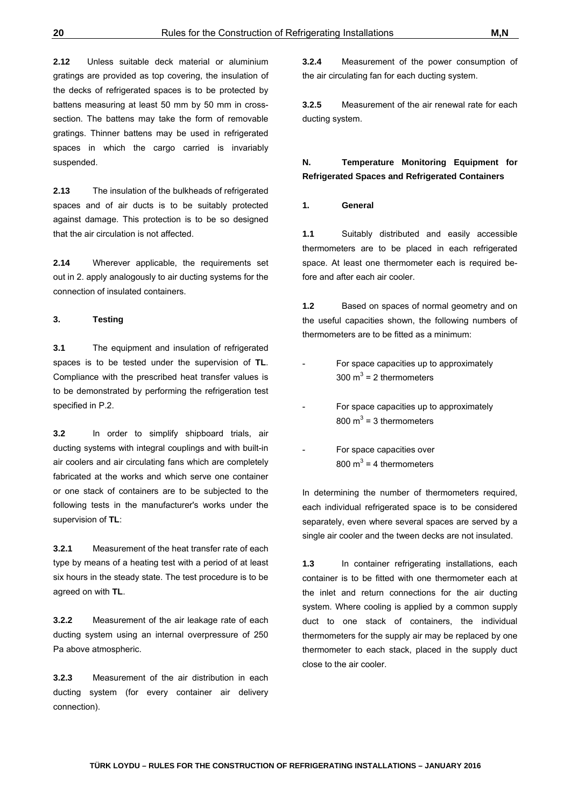**2.12** Unless suitable deck material or aluminium gratings are provided as top covering, the insulation of the decks of refrigerated spaces is to be protected by battens measuring at least 50 mm by 50 mm in crosssection. The battens may take the form of removable gratings. Thinner battens may be used in refrigerated spaces in which the cargo carried is invariably suspended.

**2.13** The insulation of the bulkheads of refrigerated spaces and of air ducts is to be suitably protected against damage. This protection is to be so designed that the air circulation is not affected.

**2.14** Wherever applicable, the requirements set out in 2. apply analogously to air ducting systems for the connection of insulated containers.

#### **3. Testing**

**3.1** The equipment and insulation of refrigerated spaces is to be tested under the supervision of **TL**. Compliance with the prescribed heat transfer values is to be demonstrated by performing the refrigeration test specified in P.2.

**3.2** In order to simplify shipboard trials, air ducting systems with integral couplings and with built-in air coolers and air circulating fans which are completely fabricated at the works and which serve one container or one stack of containers are to be subjected to the following tests in the manufacturer's works under the supervision of **TL**:

**3.2.1** Measurement of the heat transfer rate of each type by means of a heating test with a period of at least six hours in the steady state. The test procedure is to be agreed on with **TL**.

**3.2.2** Measurement of the air leakage rate of each ducting system using an internal overpressure of 250 Pa above atmospheric.

**3.2.3** Measurement of the air distribution in each ducting system (for every container air delivery connection).

**3.2.4** Measurement of the power consumption of the air circulating fan for each ducting system.

**3.2.5** Measurement of the air renewal rate for each ducting system.

**N. Temperature Monitoring Equipment for Refrigerated Spaces and Refrigerated Containers**

#### **1. General**

**1.1** Suitably distributed and easily accessible thermometers are to be placed in each refrigerated space. At least one thermometer each is required before and after each air cooler.

**1.2** Based on spaces of normal geometry and on the useful capacities shown, the following numbers of thermometers are to be fitted as a minimum:

- For space capacities up to approximately 300  $m^3$  = 2 thermometers
- For space capacities up to approximately 800  $m^3$  = 3 thermometers
- For space capacities over 800  $m^3$  = 4 thermometers

In determining the number of thermometers required, each individual refrigerated space is to be considered separately, even where several spaces are served by a single air cooler and the tween decks are not insulated.

**1.3** In container refrigerating installations, each container is to be fitted with one thermometer each at the inlet and return connections for the air ducting system. Where cooling is applied by a common supply duct to one stack of containers, the individual thermometers for the supply air may be replaced by one thermometer to each stack, placed in the supply duct close to the air cooler.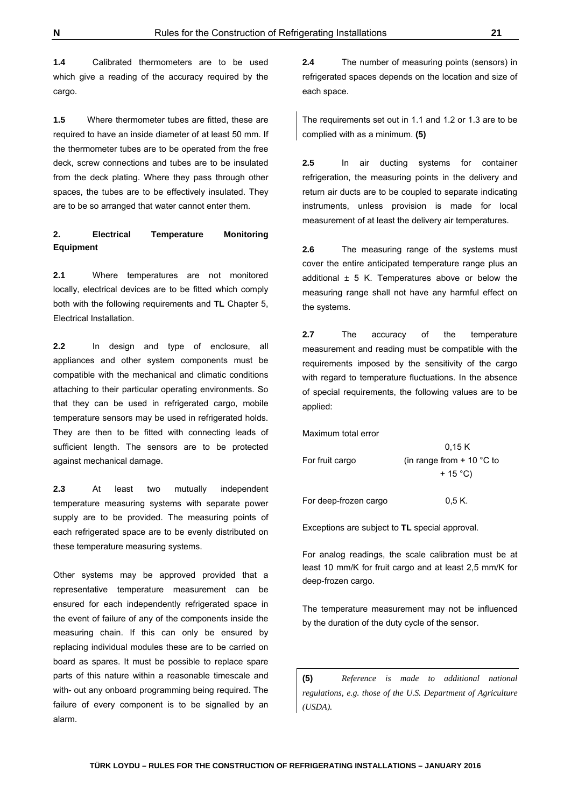**TÜRK LOYDU – RULES FOR THE CONSTRUCTION OF REFRIGERATING INSTALLATIONS – JANUARY 2016**

**1.4** Calibrated thermometers are to be used which give a reading of the accuracy required by the cargo.

**1.5** Where thermometer tubes are fitted, these are required to have an inside diameter of at least 50 mm. If the thermometer tubes are to be operated from the free deck, screw connections and tubes are to be insulated from the deck plating. Where they pass through other spaces, the tubes are to be effectively insulated. They are to be so arranged that water cannot enter them.

# **2. Electrical Temperature Monitoring Equipment**

**2.1** Where temperatures are not monitored locally, electrical devices are to be fitted which comply both with the following requirements and **TL** Chapter 5, Electrical Installation.

**2.2** In design and type of enclosure, all appliances and other system components must be compatible with the mechanical and climatic conditions attaching to their particular operating environments. So that they can be used in refrigerated cargo, mobile temperature sensors may be used in refrigerated holds. They are then to be fitted with connecting leads of sufficient length. The sensors are to be protected against mechanical damage.

**2.3** At least two mutually independent temperature measuring systems with separate power supply are to be provided. The measuring points of each refrigerated space are to be evenly distributed on these temperature measuring systems.

Other systems may be approved provided that a representative temperature measurement can be ensured for each independently refrigerated space in the event of failure of any of the components inside the measuring chain. If this can only be ensured by replacing individual modules these are to be carried on board as spares. It must be possible to replace spare parts of this nature within a reasonable timescale and with- out any onboard programming being required. The failure of every component is to be signalled by an alarm.

**2.4** The number of measuring points (sensors) in refrigerated spaces depends on the location and size of each space.

The requirements set out in 1.1 and 1.2 or 1.3 are to be complied with as a minimum. **(5)**

**2.5** In air ducting systems for container refrigeration, the measuring points in the delivery and return air ducts are to be coupled to separate indicating instruments, unless provision is made for local measurement of at least the delivery air temperatures.

**2.6** The measuring range of the systems must cover the entire anticipated temperature range plus an additional  $\pm$  5 K. Temperatures above or below the measuring range shall not have any harmful effect on the systems.

**2.7** The accuracy of the temperature measurement and reading must be compatible with the requirements imposed by the sensitivity of the cargo with regard to temperature fluctuations. In the absence of special requirements, the following values are to be applied:

Maximum total error

|                       | 0,15K                       |
|-----------------------|-----------------------------|
| For fruit cargo       | (in range from $+$ 10 °C to |
|                       | $+15^{\circ}$ C)            |
|                       |                             |
| For deep-frozen cargo | 0.5 K.                      |

Exceptions are subject to **TL** special approval.

For analog readings, the scale calibration must be at least 10 mm/K for fruit cargo and at least 2,5 mm/K for deep-frozen cargo.

The temperature measurement may not be influenced by the duration of the duty cycle of the sensor.

**(5)** *Reference is made to additional national regulations, e.g. those of the U.S. Department of Agriculture (USDA).*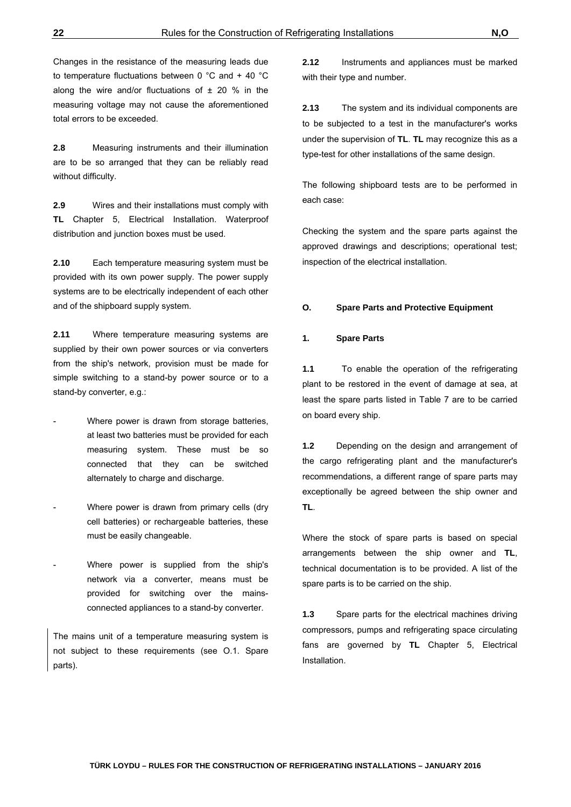Changes in the resistance of the measuring leads due to temperature fluctuations between 0 °C and + 40 °C along the wire and/or fluctuations of  $\pm$  20 % in the measuring voltage may not cause the aforementioned total errors to be exceeded.

**2.8** Measuring instruments and their illumination are to be so arranged that they can be reliably read without difficulty.

**2.9** Wires and their installations must comply with **TL** Chapter 5, Electrical Installation. Waterproof distribution and junction boxes must be used.

**2.10** Each temperature measuring system must be provided with its own power supply. The power supply systems are to be electrically independent of each other and of the shipboard supply system.

**2.11** Where temperature measuring systems are supplied by their own power sources or via converters from the ship's network, provision must be made for simple switching to a stand-by power source or to a stand-by converter, e.g.:

- Where power is drawn from storage batteries, at least two batteries must be provided for each measuring system. These must be so connected that they can be switched alternately to charge and discharge.
- Where power is drawn from primary cells (dry cell batteries) or rechargeable batteries, these must be easily changeable.
- Where power is supplied from the ship's network via a converter, means must be provided for switching over the mainsconnected appliances to a stand-by converter.

The mains unit of a temperature measuring system is not subject to these requirements (see O.1. Spare parts).

**2.12** Instruments and appliances must be marked with their type and number.

**2.13** The system and its individual components are to be subjected to a test in the manufacturer's works under the supervision of **TL**. **TL** may recognize this as a type-test for other installations of the same design.

The following shipboard tests are to be performed in each case:

Checking the system and the spare parts against the approved drawings and descriptions; operational test; inspection of the electrical installation.

#### **O. Spare Parts and Protective Equipment**

#### **1. Spare Parts**

**1.1** To enable the operation of the refrigerating plant to be restored in the event of damage at sea, at least the spare parts listed in Table 7 are to be carried on board every ship.

**1.2** Depending on the design and arrangement of the cargo refrigerating plant and the manufacturer's recommendations, a different range of spare parts may exceptionally be agreed between the ship owner and **TL**.

Where the stock of spare parts is based on special arrangements between the ship owner and **TL**, technical documentation is to be provided. A list of the spare parts is to be carried on the ship.

**1.3** Spare parts for the electrical machines driving compressors, pumps and refrigerating space circulating fans are governed by **TL** Chapter 5, Electrical Installation.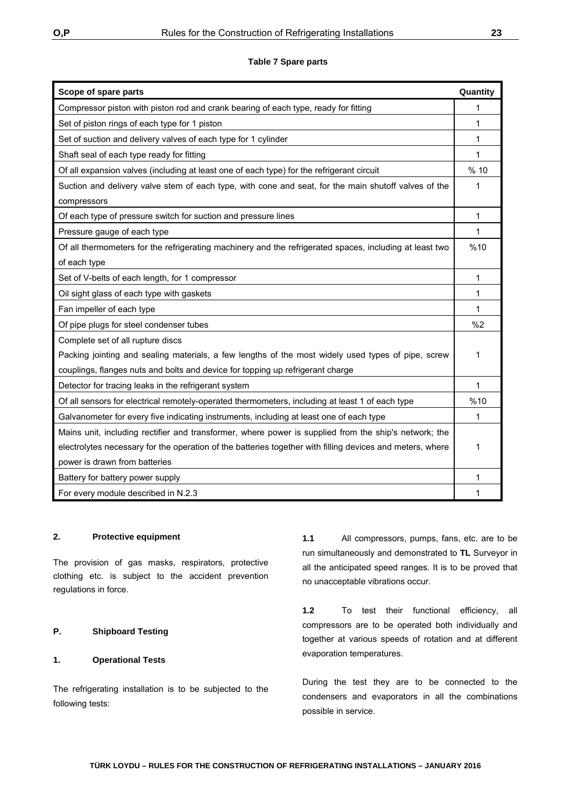| Scope of spare parts                                                                                      | Quantity |
|-----------------------------------------------------------------------------------------------------------|----------|
| Compressor piston with piston rod and crank bearing of each type, ready for fitting                       | 1        |
| Set of piston rings of each type for 1 piston                                                             | 1        |
| Set of suction and delivery valves of each type for 1 cylinder                                            | 1        |
| Shaft seal of each type ready for fitting                                                                 | 1        |
| Of all expansion valves (including at least one of each type) for the refrigerant circuit                 | % 10     |
| Suction and delivery valve stem of each type, with cone and seat, for the main shutoff valves of the      | 1        |
| compressors                                                                                               |          |
| Of each type of pressure switch for suction and pressure lines                                            | 1        |
| Pressure gauge of each type                                                                               | 1        |
| Of all thermometers for the refrigerating machinery and the refrigerated spaces, including at least two   | %10      |
| of each type                                                                                              |          |
| Set of V-belts of each length, for 1 compressor                                                           | 1        |
| Oil sight glass of each type with gaskets                                                                 | 1        |
| Fan impeller of each type                                                                                 | 1        |
| Of pipe plugs for steel condenser tubes                                                                   | %2       |
| Complete set of all rupture discs                                                                         |          |
| Packing jointing and sealing materials, a few lengths of the most widely used types of pipe, screw        | 1        |
| couplings, flanges nuts and bolts and device for topping up refrigerant charge                            |          |
| Detector for tracing leaks in the refrigerant system                                                      | 1        |
| Of all sensors for electrical remotely-operated thermometers, including at least 1 of each type           | %10      |
| Galvanometer for every five indicating instruments, including at least one of each type                   | 1        |
| Mains unit, including rectifier and transformer, where power is supplied from the ship's network; the     |          |
| electrolytes necessary for the operation of the batteries together with filling devices and meters, where | 1        |
| power is drawn from batteries                                                                             |          |
| Battery for battery power supply                                                                          | 1        |
| For every module described in N.2.3                                                                       | 1        |

#### **2. Protective equipment**

The provision of gas masks, respirators, protective clothing etc. is subject to the accident prevention regulations in force.

# **P. Shipboard Testing**

#### **1. Operational Tests**

The refrigerating installation is to be subjected to the following tests:

**1.1** All compressors, pumps, fans, etc. are to be run simultaneously and demonstrated to **TL** Surveyor in all the anticipated speed ranges. It is to be proved that no unacceptable vibrations occur.

**1.2** To test their functional efficiency, all compressors are to be operated both individually and together at various speeds of rotation and at different evaporation temperatures.

During the test they are to be connected to the condensers and evaporators in all the combinations possible in service.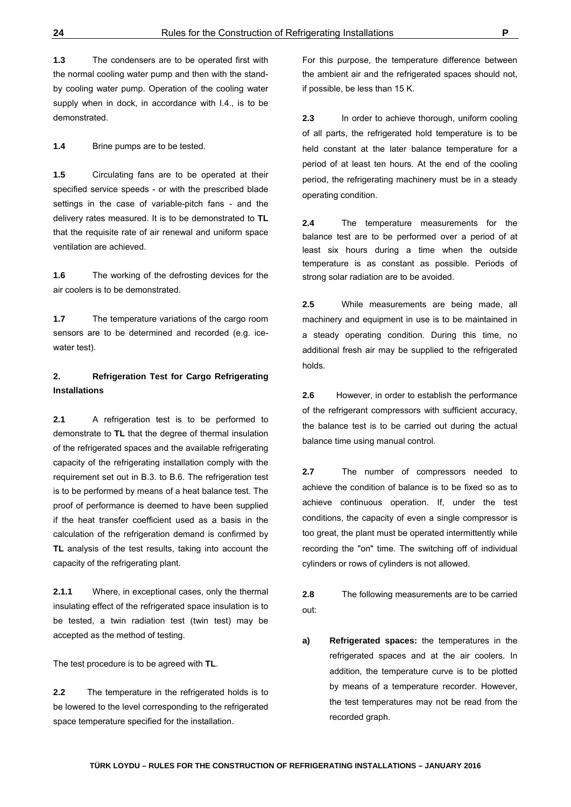**1.3** The condensers are to be operated first with the normal cooling water pump and then with the standby cooling water pump. Operation of the cooling water supply when in dock, in accordance with I.4., is to be demonstrated.

**1.4** Brine pumps are to be tested.

**1.5** Circulating fans are to be operated at their specified service speeds - or with the prescribed blade settings in the case of variable-pitch fans - and the delivery rates measured. It is to be demonstrated to **TL** that the requisite rate of air renewal and uniform space ventilation are achieved.

**1.6** The working of the defrosting devices for the air coolers is to be demonstrated.

**1.7** The temperature variations of the cargo room sensors are to be determined and recorded (e.g. icewater test).

# **2. Refrigeration Test for Cargo Refrigerating Installations**

**2.1** A refrigeration test is to be performed to demonstrate to **TL** that the degree of thermal insulation of the refrigerated spaces and the available refrigerating capacity of the refrigerating installation comply with the requirement set out in B.3. to B.6. The refrigeration test is to be performed by means of a heat balance test. The proof of performance is deemed to have been supplied if the heat transfer coefficient used as a basis in the calculation of the refrigeration demand is confirmed by **TL** analysis of the test results, taking into account the capacity of the refrigerating plant.

**2.1.1** Where, in exceptional cases, only the thermal insulating effect of the refrigerated space insulation is to be tested, a twin radiation test (twin test) may be accepted as the method of testing.

The test procedure is to be agreed with **TL**.

**2.2** The temperature in the refrigerated holds is to be lowered to the level corresponding to the refrigerated space temperature specified for the installation.

For this purpose, the temperature difference between the ambient air and the refrigerated spaces should not, if possible, be less than 15 K.

**2.3** In order to achieve thorough, uniform cooling of all parts, the refrigerated hold temperature is to be held constant at the later balance temperature for a period of at least ten hours. At the end of the cooling period, the refrigerating machinery must be in a steady operating condition.

**2.4** The temperature measurements for the balance test are to be performed over a period of at least six hours during a time when the outside temperature is as constant as possible. Periods of strong solar radiation are to be avoided.

**2.5** While measurements are being made, all machinery and equipment in use is to be maintained in a steady operating condition. During this time, no additional fresh air may be supplied to the refrigerated holds.

**2.6** However, in order to establish the performance of the refrigerant compressors with sufficient accuracy, the balance test is to be carried out during the actual balance time using manual control.

**2.7** The number of compressors needed to achieve the condition of balance is to be fixed so as to achieve continuous operation. If, under the test conditions, the capacity of even a single compressor is too great, the plant must be operated intermittently while recording the "on" time. The switching off of individual cylinders or rows of cylinders is not allowed.

**2.8** The following measurements are to be carried out:

**a) Refrigerated spaces:** the temperatures in the refrigerated spaces and at the air coolers. In addition, the temperature curve is to be plotted by means of a temperature recorder. However, the test temperatures may not be read from the recorded graph.